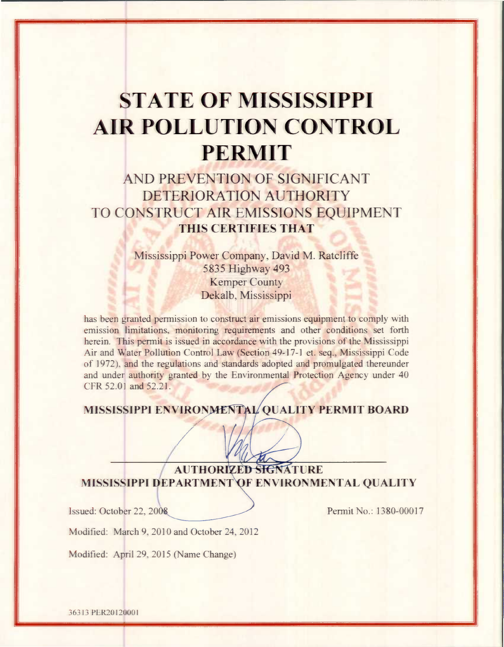# **STATE OF MISSISSIPPI AIR POLLUTION CONTROL PERMIT**

# AND PREVENTION OF SIGNIFICANT DETERIORATION AUTHORITY TO CONSTRUCT AIR EMISSIONS EOUIPMENT THIS CERTIFIES THAT

Mississippi Power Company, David M. Ratcliffe 5835 Highway 493 **Kemper County** Dekalb, Mississippi

has been granted permission to construct air emissions equipment to comply with emission limitations, monitoring requirements and other conditions set forth herein. This permit is issued in accordance with the provisions of the Mississippi Air and Water Pollution Control Law (Section 49-17-1 et. seq., Mississippi Code of 1972), and the regulations and standards adopted and promulgated thereunder and under authority granted by the Environmental Protection Agency under 40 CFR 52.01 and 52.21.

# MISSISSIPPI ENVIRONMENTAL QUALITY PERMIT BOARD

**AUTHORIZED SIGNATURE** MISSISSIPPI DEPARTMENT OF ENVIRONMENTAL QUALITY

Issued: October 22, 2008

Permit No.: 1380-00017

Modified: March 9, 2010 and October 24, 2012

Modified: April 29, 2015 (Name Change)

36313 PER20120001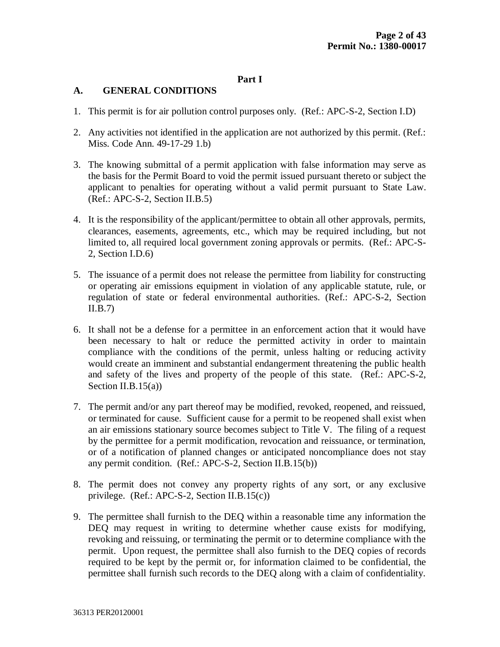# **Part I**

# **A. GENERAL CONDITIONS**

- 1. This permit is for air pollution control purposes only. (Ref.: APC-S-2, Section I.D)
- 2. Any activities not identified in the application are not authorized by this permit. (Ref.: Miss. Code Ann. 49-17-29 1.b)
- 3. The knowing submittal of a permit application with false information may serve as the basis for the Permit Board to void the permit issued pursuant thereto or subject the applicant to penalties for operating without a valid permit pursuant to State Law. (Ref.: APC-S-2, Section II.B.5)
- 4. It is the responsibility of the applicant/permittee to obtain all other approvals, permits, clearances, easements, agreements, etc., which may be required including, but not limited to, all required local government zoning approvals or permits. (Ref.: APC-S-2, Section I.D.6)
- 5. The issuance of a permit does not release the permittee from liability for constructing or operating air emissions equipment in violation of any applicable statute, rule, or regulation of state or federal environmental authorities. (Ref.: APC-S-2, Section  $II.B.7)$
- 6. It shall not be a defense for a permittee in an enforcement action that it would have been necessary to halt or reduce the permitted activity in order to maintain compliance with the conditions of the permit, unless halting or reducing activity would create an imminent and substantial endangerment threatening the public health and safety of the lives and property of the people of this state. (Ref.: APC-S-2, Section II.B.15(a))
- 7. The permit and/or any part thereof may be modified, revoked, reopened, and reissued, or terminated for cause. Sufficient cause for a permit to be reopened shall exist when an air emissions stationary source becomes subject to Title V. The filing of a request by the permittee for a permit modification, revocation and reissuance, or termination, or of a notification of planned changes or anticipated noncompliance does not stay any permit condition. (Ref.: APC-S-2, Section II.B.15(b))
- 8. The permit does not convey any property rights of any sort, or any exclusive privilege. (Ref.: APC-S-2, Section II.B.15(c))
- 9. The permittee shall furnish to the DEQ within a reasonable time any information the DEQ may request in writing to determine whether cause exists for modifying, revoking and reissuing, or terminating the permit or to determine compliance with the permit. Upon request, the permittee shall also furnish to the DEQ copies of records required to be kept by the permit or, for information claimed to be confidential, the permittee shall furnish such records to the DEQ along with a claim of confidentiality.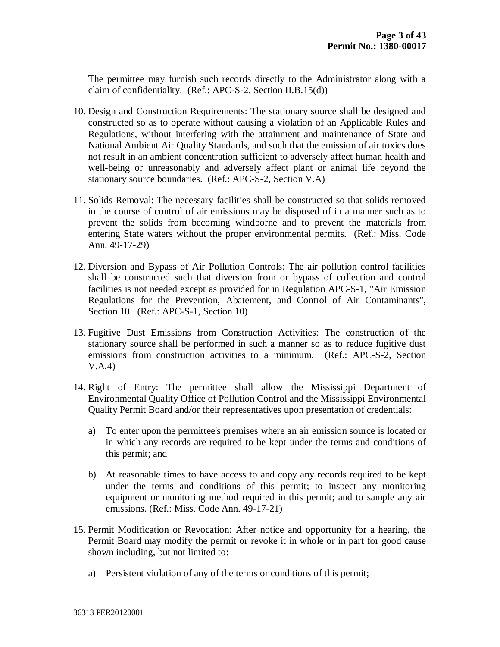The permittee may furnish such records directly to the Administrator along with a claim of confidentiality. (Ref.: APC-S-2, Section II.B.15(d))

- 10. Design and Construction Requirements: The stationary source shall be designed and constructed so as to operate without causing a violation of an Applicable Rules and Regulations, without interfering with the attainment and maintenance of State and National Ambient Air Quality Standards, and such that the emission of air toxics does not result in an ambient concentration sufficient to adversely affect human health and well-being or unreasonably and adversely affect plant or animal life beyond the stationary source boundaries. (Ref.: APC-S-2, Section V.A)
- 11. Solids Removal: The necessary facilities shall be constructed so that solids removed in the course of control of air emissions may be disposed of in a manner such as to prevent the solids from becoming windborne and to prevent the materials from entering State waters without the proper environmental permits. (Ref.: Miss. Code Ann. 49-17-29)
- 12. Diversion and Bypass of Air Pollution Controls: The air pollution control facilities shall be constructed such that diversion from or bypass of collection and control facilities is not needed except as provided for in Regulation APC-S-1, "Air Emission Regulations for the Prevention, Abatement, and Control of Air Contaminants", Section 10. (Ref.: APC-S-1, Section 10)
- 13. Fugitive Dust Emissions from Construction Activities: The construction of the stationary source shall be performed in such a manner so as to reduce fugitive dust emissions from construction activities to a minimum. (Ref.: APC-S-2, Section V.A.4)
- 14. Right of Entry: The permittee shall allow the Mississippi Department of Environmental Quality Office of Pollution Control and the Mississippi Environmental Quality Permit Board and/or their representatives upon presentation of credentials:
	- a) To enter upon the permittee's premises where an air emission source is located or in which any records are required to be kept under the terms and conditions of this permit; and
	- b) At reasonable times to have access to and copy any records required to be kept under the terms and conditions of this permit; to inspect any monitoring equipment or monitoring method required in this permit; and to sample any air emissions. (Ref.: Miss. Code Ann. 49-17-21)
- 15. Permit Modification or Revocation: After notice and opportunity for a hearing, the Permit Board may modify the permit or revoke it in whole or in part for good cause shown including, but not limited to:
	- a) Persistent violation of any of the terms or conditions of this permit;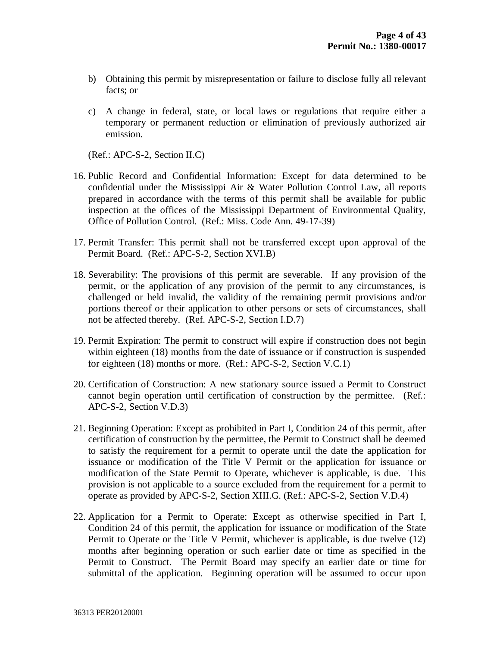- b) Obtaining this permit by misrepresentation or failure to disclose fully all relevant facts; or
- c) A change in federal, state, or local laws or regulations that require either a temporary or permanent reduction or elimination of previously authorized air emission.

(Ref.: APC-S-2, Section II.C)

- 16. Public Record and Confidential Information: Except for data determined to be confidential under the Mississippi Air & Water Pollution Control Law, all reports prepared in accordance with the terms of this permit shall be available for public inspection at the offices of the Mississippi Department of Environmental Quality, Office of Pollution Control. (Ref.: Miss. Code Ann. 49-17-39)
- 17. Permit Transfer: This permit shall not be transferred except upon approval of the Permit Board. (Ref.: APC-S-2, Section XVI.B)
- 18. Severability: The provisions of this permit are severable. If any provision of the permit, or the application of any provision of the permit to any circumstances, is challenged or held invalid, the validity of the remaining permit provisions and/or portions thereof or their application to other persons or sets of circumstances, shall not be affected thereby. (Ref. APC-S-2, Section I.D.7)
- 19. Permit Expiration: The permit to construct will expire if construction does not begin within eighteen (18) months from the date of issuance or if construction is suspended for eighteen (18) months or more. (Ref.: APC-S-2, Section V.C.1)
- 20. Certification of Construction: A new stationary source issued a Permit to Construct cannot begin operation until certification of construction by the permittee. (Ref.: APC-S-2, Section V.D.3)
- 21. Beginning Operation: Except as prohibited in Part I, Condition 24 of this permit, after certification of construction by the permittee, the Permit to Construct shall be deemed to satisfy the requirement for a permit to operate until the date the application for issuance or modification of the Title V Permit or the application for issuance or modification of the State Permit to Operate, whichever is applicable, is due. This provision is not applicable to a source excluded from the requirement for a permit to operate as provided by APC-S-2, Section XIII.G. (Ref.: APC-S-2, Section V.D.4)
- 22. Application for a Permit to Operate: Except as otherwise specified in Part I, Condition 24 of this permit, the application for issuance or modification of the State Permit to Operate or the Title V Permit, whichever is applicable, is due twelve (12) months after beginning operation or such earlier date or time as specified in the Permit to Construct. The Permit Board may specify an earlier date or time for submittal of the application. Beginning operation will be assumed to occur upon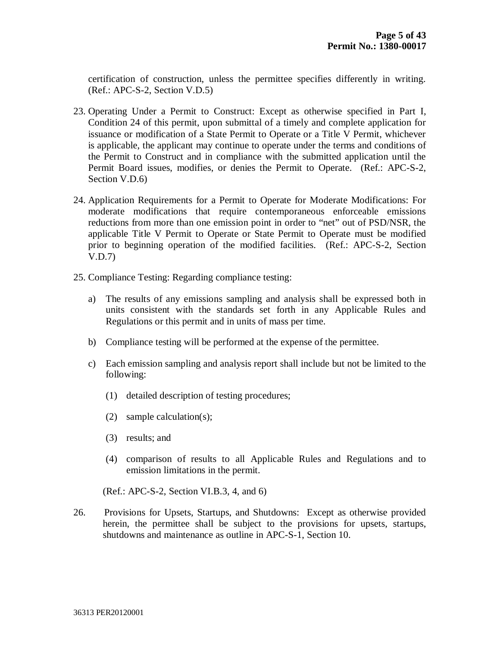certification of construction, unless the permittee specifies differently in writing. (Ref.: APC-S-2, Section V.D.5)

- 23. Operating Under a Permit to Construct: Except as otherwise specified in Part I, Condition 24 of this permit, upon submittal of a timely and complete application for issuance or modification of a State Permit to Operate or a Title V Permit, whichever is applicable, the applicant may continue to operate under the terms and conditions of the Permit to Construct and in compliance with the submitted application until the Permit Board issues, modifies, or denies the Permit to Operate. (Ref.: APC-S-2, Section V.D.6)
- 24. Application Requirements for a Permit to Operate for Moderate Modifications: For moderate modifications that require contemporaneous enforceable emissions reductions from more than one emission point in order to "net" out of PSD/NSR, the applicable Title V Permit to Operate or State Permit to Operate must be modified prior to beginning operation of the modified facilities. (Ref.: APC-S-2, Section V.D.7)
- 25. Compliance Testing: Regarding compliance testing:
	- a) The results of any emissions sampling and analysis shall be expressed both in units consistent with the standards set forth in any Applicable Rules and Regulations or this permit and in units of mass per time.
	- b) Compliance testing will be performed at the expense of the permittee.
	- c) Each emission sampling and analysis report shall include but not be limited to the following:
		- (1) detailed description of testing procedures;
		- (2) sample calculation(s);
		- (3) results; and
		- (4) comparison of results to all Applicable Rules and Regulations and to emission limitations in the permit.

(Ref.: APC-S-2, Section VI.B.3, 4, and 6)

26. Provisions for Upsets, Startups, and Shutdowns: Except as otherwise provided herein, the permittee shall be subject to the provisions for upsets, startups, shutdowns and maintenance as outline in APC-S-1, Section 10.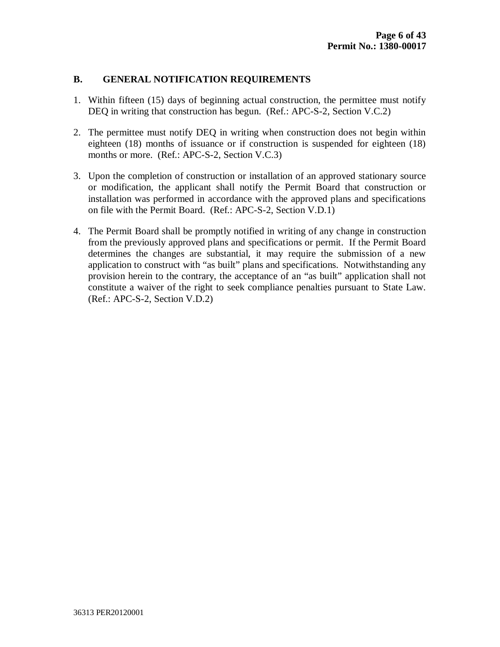# **B. GENERAL NOTIFICATION REQUIREMENTS**

- 1. Within fifteen (15) days of beginning actual construction, the permittee must notify DEQ in writing that construction has begun. (Ref.: APC-S-2, Section V.C.2)
- 2. The permittee must notify DEQ in writing when construction does not begin within eighteen (18) months of issuance or if construction is suspended for eighteen (18) months or more. (Ref.: APC-S-2, Section V.C.3)
- 3. Upon the completion of construction or installation of an approved stationary source or modification, the applicant shall notify the Permit Board that construction or installation was performed in accordance with the approved plans and specifications on file with the Permit Board. (Ref.: APC-S-2, Section V.D.1)
- 4. The Permit Board shall be promptly notified in writing of any change in construction from the previously approved plans and specifications or permit. If the Permit Board determines the changes are substantial, it may require the submission of a new application to construct with "as built" plans and specifications. Notwithstanding any provision herein to the contrary, the acceptance of an "as built" application shall not constitute a waiver of the right to seek compliance penalties pursuant to State Law. (Ref.: APC-S-2, Section V.D.2)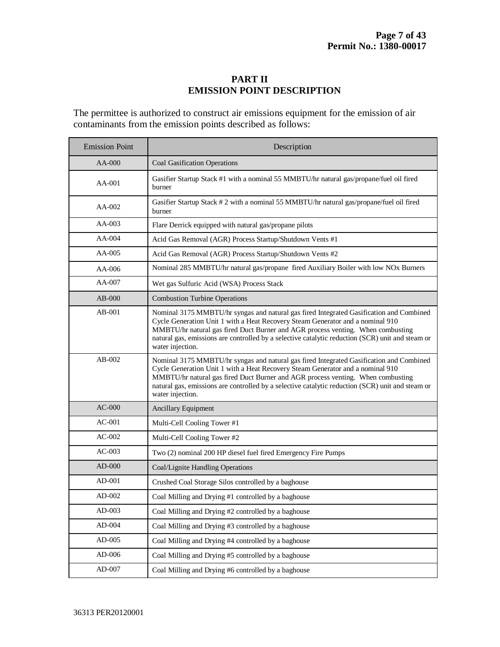# **PART II EMISSION POINT DESCRIPTION**

The permittee is authorized to construct air emissions equipment for the emission of air contaminants from the emission points described as follows:

| <b>Emission Point</b> | Description                                                                                                                                                                                                                                                                                                                                                                          |
|-----------------------|--------------------------------------------------------------------------------------------------------------------------------------------------------------------------------------------------------------------------------------------------------------------------------------------------------------------------------------------------------------------------------------|
| $AA-000$              | <b>Coal Gasification Operations</b>                                                                                                                                                                                                                                                                                                                                                  |
| AA-001                | Gasifier Startup Stack #1 with a nominal 55 MMBTU/hr natural gas/propane/fuel oil fired<br>burner                                                                                                                                                                                                                                                                                    |
| $AA-002$              | Gasifier Startup Stack # 2 with a nominal 55 MMBTU/hr natural gas/propane/fuel oil fired<br>burner                                                                                                                                                                                                                                                                                   |
| $AA-003$              | Flare Derrick equipped with natural gas/propane pilots                                                                                                                                                                                                                                                                                                                               |
| $AA-004$              | Acid Gas Removal (AGR) Process Startup/Shutdown Vents #1                                                                                                                                                                                                                                                                                                                             |
| $AA-005$              | Acid Gas Removal (AGR) Process Startup/Shutdown Vents #2                                                                                                                                                                                                                                                                                                                             |
| $AA-006$              | Nominal 285 MMBTU/hr natural gas/propane fired Auxiliary Boiler with low NOx Burners                                                                                                                                                                                                                                                                                                 |
| AA-007                | Wet gas Sulfuric Acid (WSA) Process Stack                                                                                                                                                                                                                                                                                                                                            |
| $AB-000$              | <b>Combustion Turbine Operations</b>                                                                                                                                                                                                                                                                                                                                                 |
| $AB-001$              | Nominal 3175 MMBTU/hr syngas and natural gas fired Integrated Gasification and Combined<br>Cycle Generation Unit 1 with a Heat Recovery Steam Generator and a nominal 910<br>MMBTU/hr natural gas fired Duct Burner and AGR process venting. When combusting<br>natural gas, emissions are controlled by a selective catalytic reduction (SCR) unit and steam or<br>water injection. |
| $AB-002$              | Nominal 3175 MMBTU/hr syngas and natural gas fired Integrated Gasification and Combined<br>Cycle Generation Unit 1 with a Heat Recovery Steam Generator and a nominal 910<br>MMBTU/hr natural gas fired Duct Burner and AGR process venting. When combusting<br>natural gas, emissions are controlled by a selective catalytic reduction (SCR) unit and steam or<br>water injection. |
| $AC-000$              | Ancillary Equipment                                                                                                                                                                                                                                                                                                                                                                  |
| $AC-001$              | Multi-Cell Cooling Tower #1                                                                                                                                                                                                                                                                                                                                                          |
| $AC-002$              | Multi-Cell Cooling Tower #2                                                                                                                                                                                                                                                                                                                                                          |
| $AC-003$              | Two (2) nominal 200 HP diesel fuel fired Emergency Fire Pumps                                                                                                                                                                                                                                                                                                                        |
| $AD-000$              | Coal/Lignite Handling Operations                                                                                                                                                                                                                                                                                                                                                     |
| $AD-001$              | Crushed Coal Storage Silos controlled by a baghouse                                                                                                                                                                                                                                                                                                                                  |
| $AD-002$              | Coal Milling and Drying #1 controlled by a baghouse                                                                                                                                                                                                                                                                                                                                  |
| AD-003                | Coal Milling and Drying #2 controlled by a baghouse                                                                                                                                                                                                                                                                                                                                  |
| $AD-004$              | Coal Milling and Drying #3 controlled by a baghouse                                                                                                                                                                                                                                                                                                                                  |
| $AD-005$              | Coal Milling and Drying #4 controlled by a baghouse                                                                                                                                                                                                                                                                                                                                  |
| AD-006                | Coal Milling and Drying #5 controlled by a baghouse                                                                                                                                                                                                                                                                                                                                  |
| AD-007                | Coal Milling and Drying #6 controlled by a baghouse                                                                                                                                                                                                                                                                                                                                  |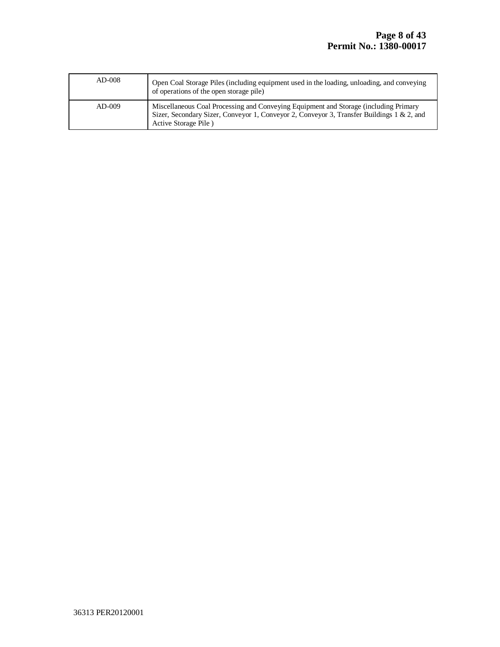٦

| $AD-008$ | Open Coal Storage Piles (including equipment used in the loading, unloading, and conveying<br>of operations of the open storage pile)                                                                     |
|----------|-----------------------------------------------------------------------------------------------------------------------------------------------------------------------------------------------------------|
| $AD-009$ | Miscellaneous Coal Processing and Conveying Equipment and Storage (including Primary<br>Sizer, Secondary Sizer, Conveyor 1, Conveyor 2, Conveyor 3, Transfer Buildings 1 & 2, and<br>Active Storage Pile) |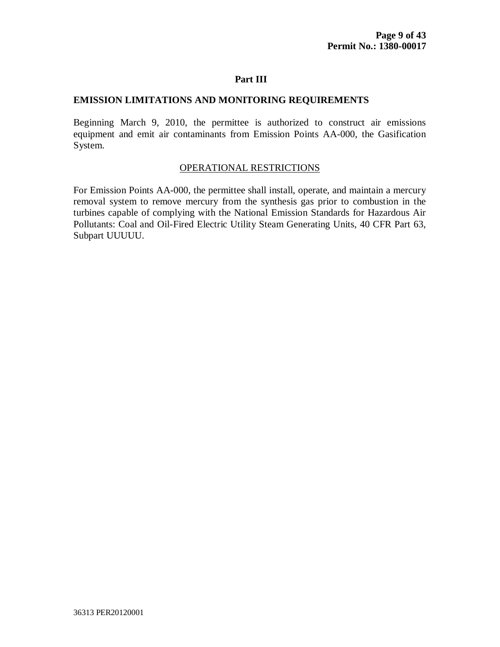#### **EMISSION LIMITATIONS AND MONITORING REQUIREMENTS**

Beginning March 9, 2010, the permittee is authorized to construct air emissions equipment and emit air contaminants from Emission Points AA-000, the Gasification System.

#### OPERATIONAL RESTRICTIONS

For Emission Points AA-000, the permittee shall install, operate, and maintain a mercury removal system to remove mercury from the synthesis gas prior to combustion in the turbines capable of complying with the National Emission Standards for Hazardous Air Pollutants: Coal and Oil-Fired Electric Utility Steam Generating Units, 40 CFR Part 63, Subpart UUUUU.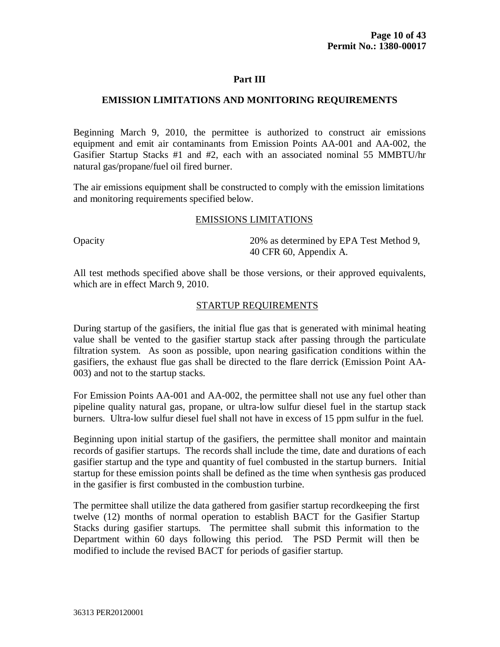### **EMISSION LIMITATIONS AND MONITORING REQUIREMENTS**

Beginning March 9, 2010, the permittee is authorized to construct air emissions equipment and emit air contaminants from Emission Points AA-001 and AA-002, the Gasifier Startup Stacks #1 and #2, each with an associated nominal 55 MMBTU/hr natural gas/propane/fuel oil fired burner.

The air emissions equipment shall be constructed to comply with the emission limitations and monitoring requirements specified below.

#### EMISSIONS LIMITATIONS

Opacity 20% as determined by EPA Test Method 9, 40 CFR 60, Appendix A.

All test methods specified above shall be those versions, or their approved equivalents, which are in effect March 9, 2010.

### STARTUP REQUIREMENTS

During startup of the gasifiers, the initial flue gas that is generated with minimal heating value shall be vented to the gasifier startup stack after passing through the particulate filtration system. As soon as possible, upon nearing gasification conditions within the gasifiers, the exhaust flue gas shall be directed to the flare derrick (Emission Point AA-003) and not to the startup stacks.

For Emission Points AA-001 and AA-002, the permittee shall not use any fuel other than pipeline quality natural gas, propane, or ultra-low sulfur diesel fuel in the startup stack burners. Ultra-low sulfur diesel fuel shall not have in excess of 15 ppm sulfur in the fuel.

Beginning upon initial startup of the gasifiers, the permittee shall monitor and maintain records of gasifier startups. The records shall include the time, date and durations of each gasifier startup and the type and quantity of fuel combusted in the startup burners. Initial startup for these emission points shall be defined as the time when synthesis gas produced in the gasifier is first combusted in the combustion turbine.

The permittee shall utilize the data gathered from gasifier startup recordkeeping the first twelve (12) months of normal operation to establish BACT for the Gasifier Startup Stacks during gasifier startups. The permittee shall submit this information to the Department within 60 days following this period. The PSD Permit will then be modified to include the revised BACT for periods of gasifier startup.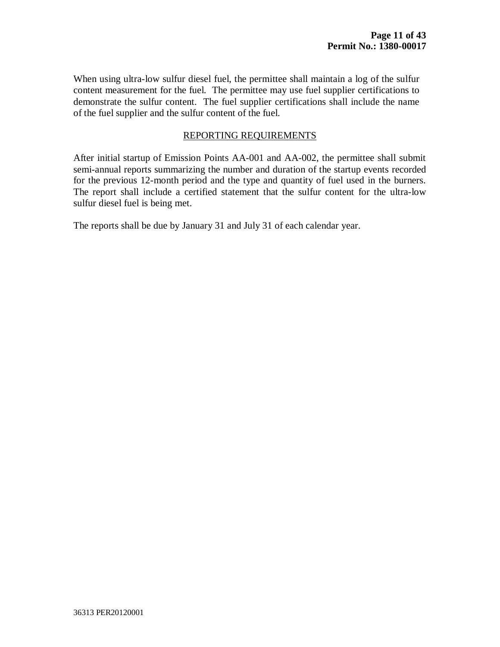When using ultra-low sulfur diesel fuel, the permittee shall maintain a log of the sulfur content measurement for the fuel. The permittee may use fuel supplier certifications to demonstrate the sulfur content. The fuel supplier certifications shall include the name of the fuel supplier and the sulfur content of the fuel.

### REPORTING REQUIREMENTS

After initial startup of Emission Points AA-001 and AA-002, the permittee shall submit semi-annual reports summarizing the number and duration of the startup events recorded for the previous 12-month period and the type and quantity of fuel used in the burners. The report shall include a certified statement that the sulfur content for the ultra-low sulfur diesel fuel is being met.

The reports shall be due by January 31 and July 31 of each calendar year.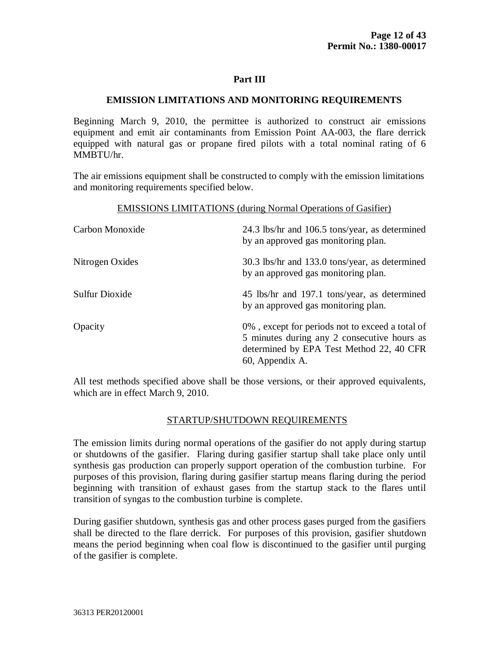#### **EMISSION LIMITATIONS AND MONITORING REQUIREMENTS**

Beginning March 9, 2010, the permittee is authorized to construct air emissions equipment and emit air contaminants from Emission Point AA-003, the flare derrick equipped with natural gas or propane fired pilots with a total nominal rating of 6 MMBTU/hr.

The air emissions equipment shall be constructed to comply with the emission limitations and monitoring requirements specified below.

#### EMISSIONS LIMITATIONS (during Normal Operations of Gasifier)

| Carbon Monoxide | 24.3 lbs/hr and 106.5 tons/year, as determined<br>by an approved gas monitoring plan.                                                                         |
|-----------------|---------------------------------------------------------------------------------------------------------------------------------------------------------------|
| Nitrogen Oxides | 30.3 lbs/hr and 133.0 tons/year, as determined<br>by an approved gas monitoring plan.                                                                         |
| Sulfur Dioxide  | 45 lbs/hr and 197.1 tons/year, as determined<br>by an approved gas monitoring plan.                                                                           |
| Opacity         | 0%, except for periods not to exceed a total of<br>5 minutes during any 2 consecutive hours as<br>determined by EPA Test Method 22, 40 CFR<br>60, Appendix A. |

All test methods specified above shall be those versions, or their approved equivalents, which are in effect March 9, 2010.

### STARTUP/SHUTDOWN REQUIREMENTS

The emission limits during normal operations of the gasifier do not apply during startup or shutdowns of the gasifier. Flaring during gasifier startup shall take place only until synthesis gas production can properly support operation of the combustion turbine. For purposes of this provision, flaring during gasifier startup means flaring during the period beginning with transition of exhaust gases from the startup stack to the flares until transition of syngas to the combustion turbine is complete.

During gasifier shutdown, synthesis gas and other process gases purged from the gasifiers shall be directed to the flare derrick. For purposes of this provision, gasifier shutdown means the period beginning when coal flow is discontinued to the gasifier until purging of the gasifier is complete.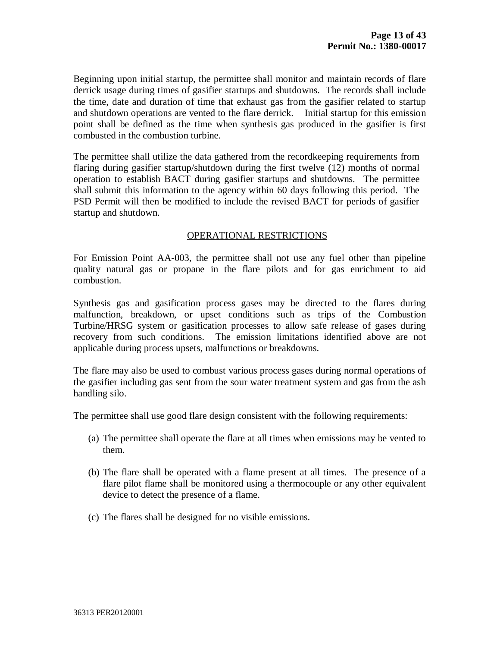Beginning upon initial startup, the permittee shall monitor and maintain records of flare derrick usage during times of gasifier startups and shutdowns. The records shall include the time, date and duration of time that exhaust gas from the gasifier related to startup and shutdown operations are vented to the flare derrick. Initial startup for this emission point shall be defined as the time when synthesis gas produced in the gasifier is first combusted in the combustion turbine.

The permittee shall utilize the data gathered from the recordkeeping requirements from flaring during gasifier startup/shutdown during the first twelve (12) months of normal operation to establish BACT during gasifier startups and shutdowns. The permittee shall submit this information to the agency within 60 days following this period. The PSD Permit will then be modified to include the revised BACT for periods of gasifier startup and shutdown.

### OPERATIONAL RESTRICTIONS

For Emission Point AA-003, the permittee shall not use any fuel other than pipeline quality natural gas or propane in the flare pilots and for gas enrichment to aid combustion.

Synthesis gas and gasification process gases may be directed to the flares during malfunction, breakdown, or upset conditions such as trips of the Combustion Turbine/HRSG system or gasification processes to allow safe release of gases during recovery from such conditions. The emission limitations identified above are not applicable during process upsets, malfunctions or breakdowns.

The flare may also be used to combust various process gases during normal operations of the gasifier including gas sent from the sour water treatment system and gas from the ash handling silo.

The permittee shall use good flare design consistent with the following requirements:

- (a) The permittee shall operate the flare at all times when emissions may be vented to them.
- (b) The flare shall be operated with a flame present at all times. The presence of a flare pilot flame shall be monitored using a thermocouple or any other equivalent device to detect the presence of a flame.
- (c) The flares shall be designed for no visible emissions.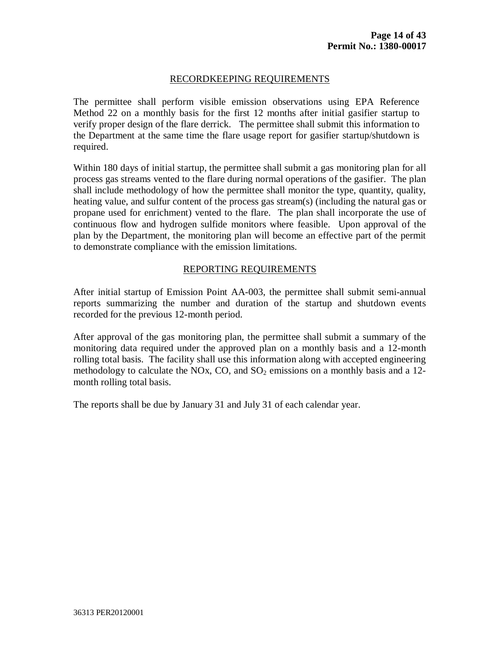### RECORDKEEPING REQUIREMENTS

The permittee shall perform visible emission observations using EPA Reference Method 22 on a monthly basis for the first 12 months after initial gasifier startup to verify proper design of the flare derrick. The permittee shall submit this information to the Department at the same time the flare usage report for gasifier startup/shutdown is required.

Within 180 days of initial startup, the permittee shall submit a gas monitoring plan for all process gas streams vented to the flare during normal operations of the gasifier. The plan shall include methodology of how the permittee shall monitor the type, quantity, quality, heating value, and sulfur content of the process gas stream(s) (including the natural gas or propane used for enrichment) vented to the flare. The plan shall incorporate the use of continuous flow and hydrogen sulfide monitors where feasible. Upon approval of the plan by the Department, the monitoring plan will become an effective part of the permit to demonstrate compliance with the emission limitations.

#### REPORTING REQUIREMENTS

After initial startup of Emission Point AA-003, the permittee shall submit semi-annual reports summarizing the number and duration of the startup and shutdown events recorded for the previous 12-month period.

After approval of the gas monitoring plan, the permittee shall submit a summary of the monitoring data required under the approved plan on a monthly basis and a 12-month rolling total basis. The facility shall use this information along with accepted engineering methodology to calculate the NOx, CO, and  $SO_2$  emissions on a monthly basis and a 12month rolling total basis.

The reports shall be due by January 31 and July 31 of each calendar year.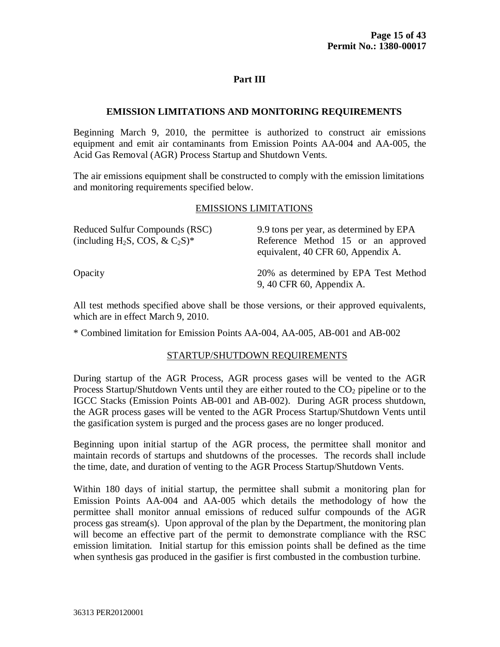### **EMISSION LIMITATIONS AND MONITORING REQUIREMENTS**

Beginning March 9, 2010, the permittee is authorized to construct air emissions equipment and emit air contaminants from Emission Points AA-004 and AA-005, the Acid Gas Removal (AGR) Process Startup and Shutdown Vents.

The air emissions equipment shall be constructed to comply with the emission limitations and monitoring requirements specified below.

#### EMISSIONS LIMITATIONS

| Reduced Sulfur Compounds (RSC)<br>(including H <sub>2</sub> S, COS, & C <sub>2</sub> S) <sup>*</sup> | 9.9 tons per year, as determined by EPA<br>Reference Method 15 or an approved<br>equivalent, 40 CFR 60, Appendix A. |
|------------------------------------------------------------------------------------------------------|---------------------------------------------------------------------------------------------------------------------|
| Opacity                                                                                              | 20% as determined by EPA Test Method<br>9, 40 CFR 60, Appendix A.                                                   |

All test methods specified above shall be those versions, or their approved equivalents, which are in effect March 9, 2010.

\* Combined limitation for Emission Points AA-004, AA-005, AB-001 and AB-002

### STARTUP/SHUTDOWN REQUIREMENTS

During startup of the AGR Process, AGR process gases will be vented to the AGR Process Startup/Shutdown Vents until they are either routed to the  $CO<sub>2</sub>$  pipeline or to the IGCC Stacks (Emission Points AB-001 and AB-002). During AGR process shutdown, the AGR process gases will be vented to the AGR Process Startup/Shutdown Vents until the gasification system is purged and the process gases are no longer produced.

Beginning upon initial startup of the AGR process, the permittee shall monitor and maintain records of startups and shutdowns of the processes. The records shall include the time, date, and duration of venting to the AGR Process Startup/Shutdown Vents.

Within 180 days of initial startup, the permittee shall submit a monitoring plan for Emission Points AA-004 and AA-005 which details the methodology of how the permittee shall monitor annual emissions of reduced sulfur compounds of the AGR process gas stream(s). Upon approval of the plan by the Department, the monitoring plan will become an effective part of the permit to demonstrate compliance with the RSC emission limitation. Initial startup for this emission points shall be defined as the time when synthesis gas produced in the gasifier is first combusted in the combustion turbine.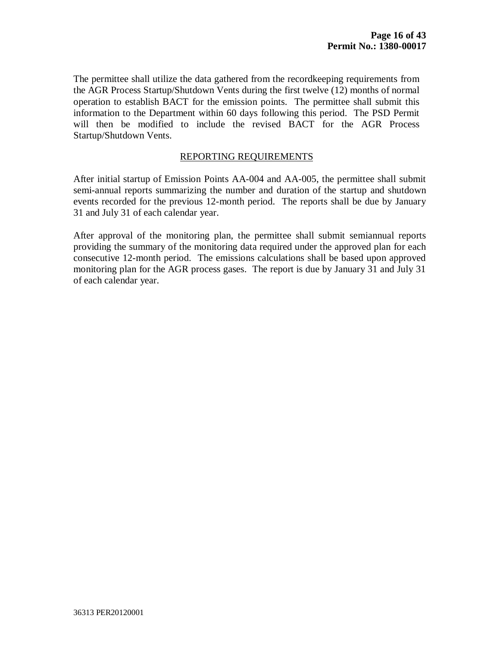The permittee shall utilize the data gathered from the recordkeeping requirements from the AGR Process Startup/Shutdown Vents during the first twelve (12) months of normal operation to establish BACT for the emission points. The permittee shall submit this information to the Department within 60 days following this period. The PSD Permit will then be modified to include the revised BACT for the AGR Process Startup/Shutdown Vents.

#### REPORTING REQUIREMENTS

After initial startup of Emission Points AA-004 and AA-005, the permittee shall submit semi-annual reports summarizing the number and duration of the startup and shutdown events recorded for the previous 12-month period. The reports shall be due by January 31 and July 31 of each calendar year.

After approval of the monitoring plan, the permittee shall submit semiannual reports providing the summary of the monitoring data required under the approved plan for each consecutive 12-month period. The emissions calculations shall be based upon approved monitoring plan for the AGR process gases. The report is due by January 31 and July 31 of each calendar year.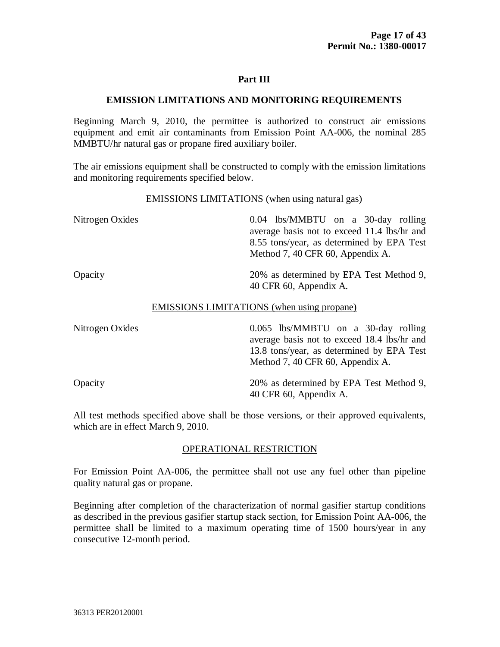# **EMISSION LIMITATIONS AND MONITORING REQUIREMENTS**

Beginning March 9, 2010, the permittee is authorized to construct air emissions equipment and emit air contaminants from Emission Point AA-006, the nominal 285 MMBTU/hr natural gas or propane fired auxiliary boiler.

The air emissions equipment shall be constructed to comply with the emission limitations and monitoring requirements specified below.

#### EMISSIONS LIMITATIONS (when using natural gas)

| Nitrogen Oxides | $0.04$ lbs/MMBTU on a 30-day rolling<br>average basis not to exceed 11.4 lbs/hr and<br>8.55 tons/year, as determined by EPA Test<br>Method 7, 40 CFR 60, Appendix A. |
|-----------------|----------------------------------------------------------------------------------------------------------------------------------------------------------------------|
| Opacity         | 20% as determined by EPA Test Method 9,<br>40 CFR 60, Appendix A.                                                                                                    |
|                 | <b>EMISSIONS LIMITATIONS</b> (when using propane)                                                                                                                    |

| Nitrogen Oxides | $0.065$ lbs/MMBTU on a 30-day rolling<br>average basis not to exceed 18.4 lbs/hr and<br>13.8 tons/year, as determined by EPA Test<br>Method 7, 40 CFR 60, Appendix A. |
|-----------------|-----------------------------------------------------------------------------------------------------------------------------------------------------------------------|
| Opacity         | 20% as determined by EPA Test Method 9,<br>40 CFR 60, Appendix A.                                                                                                     |

All test methods specified above shall be those versions, or their approved equivalents, which are in effect March 9, 2010.

### OPERATIONAL RESTRICTION

For Emission Point AA-006, the permittee shall not use any fuel other than pipeline quality natural gas or propane.

Beginning after completion of the characterization of normal gasifier startup conditions as described in the previous gasifier startup stack section, for Emission Point AA-006, the permittee shall be limited to a maximum operating time of 1500 hours/year in any consecutive 12-month period.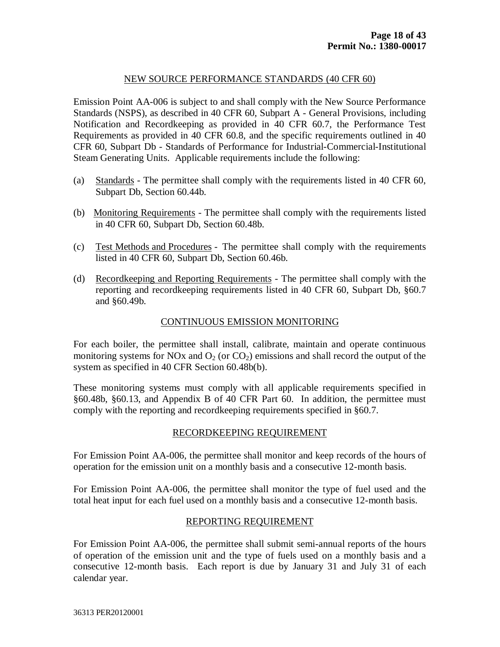# NEW SOURCE PERFORMANCE STANDARDS (40 CFR 60)

Emission Point AA-006 is subject to and shall comply with the New Source Performance Standards (NSPS), as described in 40 CFR 60, Subpart A - General Provisions, including Notification and Recordkeeping as provided in 40 CFR 60.7, the Performance Test Requirements as provided in 40 CFR 60.8, and the specific requirements outlined in 40 CFR 60, Subpart Db - Standards of Performance for Industrial-Commercial-Institutional Steam Generating Units. Applicable requirements include the following:

- (a) Standards The permittee shall comply with the requirements listed in 40 CFR 60, Subpart Db, Section 60.44b.
- (b) Monitoring Requirements The permittee shall comply with the requirements listed in 40 CFR 60, Subpart Db, Section 60.48b.
- (c) Test Methods and Procedures The permittee shall comply with the requirements listed in 40 CFR 60, Subpart Db, Section 60.46b.
- (d) Recordkeeping and Reporting Requirements The permittee shall comply with the reporting and recordkeeping requirements listed in 40 CFR 60, Subpart Db, §60.7 and §60.49b.

# CONTINUOUS EMISSION MONITORING

For each boiler, the permittee shall install, calibrate, maintain and operate continuous monitoring systems for NOx and  $O_2$  (or  $CO_2$ ) emissions and shall record the output of the system as specified in 40 CFR Section 60.48b(b).

These monitoring systems must comply with all applicable requirements specified in §60.48b, §60.13, and Appendix B of 40 CFR Part 60. In addition, the permittee must comply with the reporting and recordkeeping requirements specified in §60.7.

#### RECORDKEEPING REQUIREMENT

For Emission Point AA-006, the permittee shall monitor and keep records of the hours of operation for the emission unit on a monthly basis and a consecutive 12-month basis.

For Emission Point AA-006, the permittee shall monitor the type of fuel used and the total heat input for each fuel used on a monthly basis and a consecutive 12-month basis.

### REPORTING REQUIREMENT

For Emission Point AA-006, the permittee shall submit semi-annual reports of the hours of operation of the emission unit and the type of fuels used on a monthly basis and a consecutive 12-month basis. Each report is due by January 31 and July 31 of each calendar year.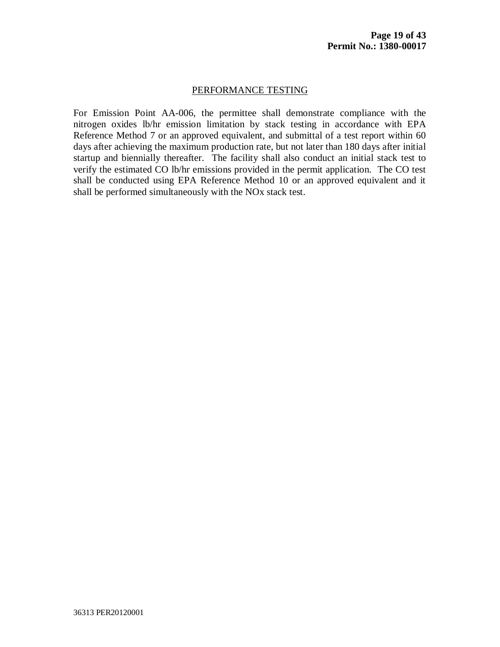#### PERFORMANCE TESTING

For Emission Point AA-006, the permittee shall demonstrate compliance with the nitrogen oxides lb/hr emission limitation by stack testing in accordance with EPA Reference Method 7 or an approved equivalent, and submittal of a test report within 60 days after achieving the maximum production rate, but not later than 180 days after initial startup and biennially thereafter. The facility shall also conduct an initial stack test to verify the estimated CO lb/hr emissions provided in the permit application. The CO test shall be conducted using EPA Reference Method 10 or an approved equivalent and it shall be performed simultaneously with the NOx stack test.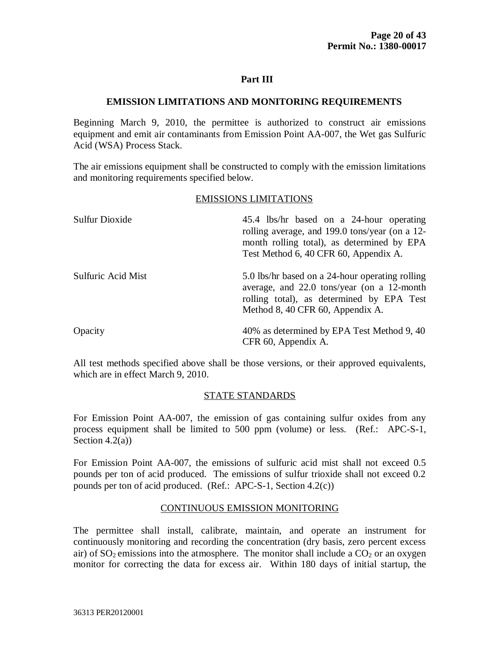#### **EMISSION LIMITATIONS AND MONITORING REQUIREMENTS**

Beginning March 9, 2010, the permittee is authorized to construct air emissions equipment and emit air contaminants from Emission Point AA-007, the Wet gas Sulfuric Acid (WSA) Process Stack.

The air emissions equipment shall be constructed to comply with the emission limitations and monitoring requirements specified below.

#### EMISSIONS LIMITATIONS

| <b>Sulfur Dioxide</b> | 45.4 lbs/hr based on a 24-hour operating<br>rolling average, and 199.0 tons/year (on a 12-<br>month rolling total), as determined by EPA<br>Test Method 6, 40 CFR 60, Appendix A. |
|-----------------------|-----------------------------------------------------------------------------------------------------------------------------------------------------------------------------------|
| Sulfuric Acid Mist    | 5.0 lbs/hr based on a 24-hour operating rolling<br>average, and 22.0 tons/year (on a 12-month<br>rolling total), as determined by EPA Test<br>Method 8, 40 CFR 60, Appendix A.    |
| Opacity               | 40% as determined by EPA Test Method 9, 40<br>CFR 60, Appendix A.                                                                                                                 |

All test methods specified above shall be those versions, or their approved equivalents, which are in effect March 9, 2010.

### STATE STANDARDS

For Emission Point AA-007, the emission of gas containing sulfur oxides from any process equipment shall be limited to 500 ppm (volume) or less. (Ref.: APC-S-1, Section  $4.2(a)$ )

For Emission Point AA-007, the emissions of sulfuric acid mist shall not exceed 0.5 pounds per ton of acid produced. The emissions of sulfur trioxide shall not exceed 0.2 pounds per ton of acid produced. (Ref.: APC-S-1, Section 4.2(c))

### CONTINUOUS EMISSION MONITORING

The permittee shall install, calibrate, maintain, and operate an instrument for continuously monitoring and recording the concentration (dry basis, zero percent excess air) of  $SO_2$  emissions into the atmosphere. The monitor shall include a  $CO_2$  or an oxygen monitor for correcting the data for excess air. Within 180 days of initial startup, the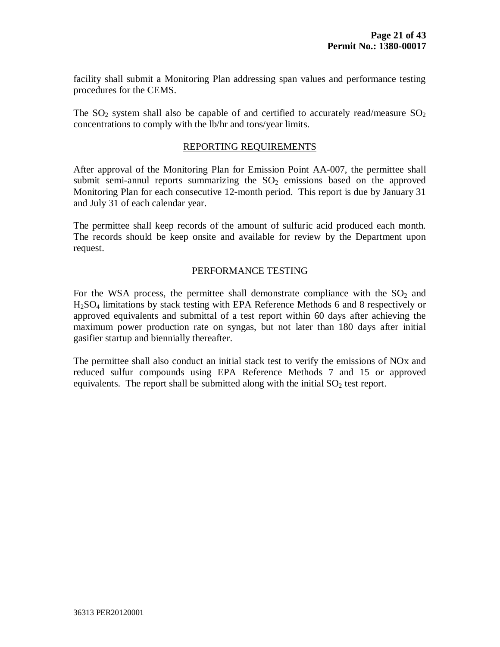facility shall submit a Monitoring Plan addressing span values and performance testing procedures for the CEMS.

The SO<sub>2</sub> system shall also be capable of and certified to accurately read/measure SO<sub>2</sub> concentrations to comply with the lb/hr and tons/year limits.

#### REPORTING REQUIREMENTS

After approval of the Monitoring Plan for Emission Point AA-007, the permittee shall submit semi-annul reports summarizing the  $SO<sub>2</sub>$  emissions based on the approved Monitoring Plan for each consecutive 12-month period. This report is due by January 31 and July 31 of each calendar year.

The permittee shall keep records of the amount of sulfuric acid produced each month. The records should be keep onsite and available for review by the Department upon request.

#### PERFORMANCE TESTING

For the WSA process, the permittee shall demonstrate compliance with the  $SO<sub>2</sub>$  and H2SO<sup>4</sup> limitations by stack testing with EPA Reference Methods 6 and 8 respectively or approved equivalents and submittal of a test report within 60 days after achieving the maximum power production rate on syngas, but not later than 180 days after initial gasifier startup and biennially thereafter.

The permittee shall also conduct an initial stack test to verify the emissions of NOx and reduced sulfur compounds using EPA Reference Methods 7 and 15 or approved equivalents. The report shall be submitted along with the initial  $SO<sub>2</sub>$  test report.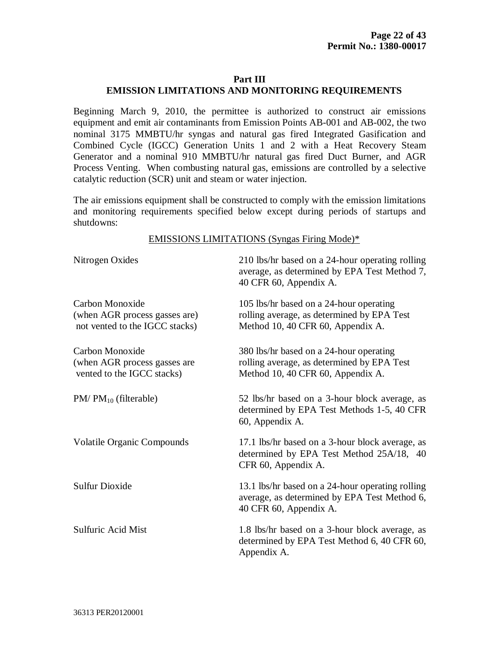# **EMISSION LIMITATIONS AND MONITORING REQUIREMENTS**

Beginning March 9, 2010, the permittee is authorized to construct air emissions equipment and emit air contaminants from Emission Points AB-001 and AB-002, the two nominal 3175 MMBTU/hr syngas and natural gas fired Integrated Gasification and Combined Cycle (IGCC) Generation Units 1 and 2 with a Heat Recovery Steam Generator and a nominal 910 MMBTU/hr natural gas fired Duct Burner, and AGR Process Venting. When combusting natural gas, emissions are controlled by a selective catalytic reduction (SCR) unit and steam or water injection.

The air emissions equipment shall be constructed to comply with the emission limitations and monitoring requirements specified below except during periods of startups and shutdowns:

#### EMISSIONS LIMITATIONS (Syngas Firing Mode)\*

| Nitrogen Oxides                                                                    | 210 lbs/hr based on a 24-hour operating rolling<br>average, as determined by EPA Test Method 7,<br>40 CFR 60, Appendix A.  |
|------------------------------------------------------------------------------------|----------------------------------------------------------------------------------------------------------------------------|
| Carbon Monoxide<br>(when AGR process gasses are)<br>not vented to the IGCC stacks) | 105 lbs/hr based on a 24-hour operating<br>rolling average, as determined by EPA Test<br>Method 10, 40 CFR 60, Appendix A. |
| Carbon Monoxide<br>(when AGR process gasses are<br>vented to the IGCC stacks)      | 380 lbs/hr based on a 24-hour operating<br>rolling average, as determined by EPA Test<br>Method 10, 40 CFR 60, Appendix A. |
| $PM/PM_{10}$ (filterable)                                                          | 52 lbs/hr based on a 3-hour block average, as<br>determined by EPA Test Methods 1-5, 40 CFR<br>60, Appendix A.             |
| <b>Volatile Organic Compounds</b>                                                  | 17.1 lbs/hr based on a 3-hour block average, as<br>determined by EPA Test Method 25A/18, 40<br>CFR 60, Appendix A.         |
| <b>Sulfur Dioxide</b>                                                              | 13.1 lbs/hr based on a 24-hour operating rolling<br>average, as determined by EPA Test Method 6,<br>40 CFR 60, Appendix A. |
| <b>Sulfuric Acid Mist</b>                                                          | 1.8 lbs/hr based on a 3-hour block average, as<br>determined by EPA Test Method 6, 40 CFR 60,<br>Appendix A.               |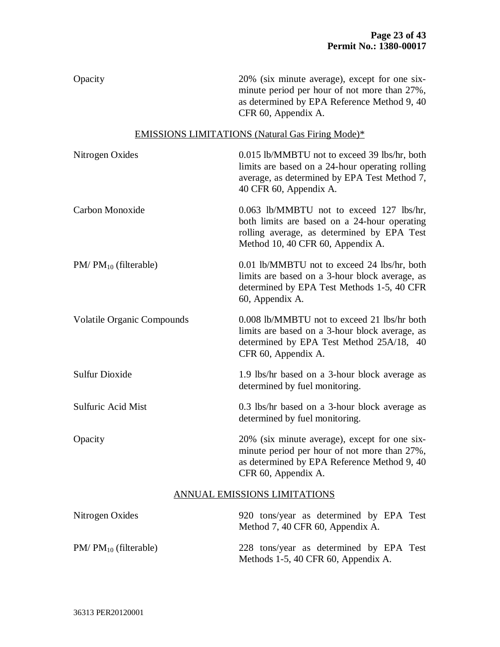Opacity 20% (six minute average), except for one sixminute period per hour of not more than 27%, as determined by EPA Reference Method 9, 40 CFR 60, Appendix A.

# EMISSIONS LIMITATIONS (Natural Gas Firing Mode)\*

| Nitrogen Oxides                   | 0.015 lb/MMBTU not to exceed 39 lbs/hr, both<br>limits are based on a 24-hour operating rolling<br>average, as determined by EPA Test Method 7,<br>40 CFR 60, Appendix A.   |
|-----------------------------------|-----------------------------------------------------------------------------------------------------------------------------------------------------------------------------|
| Carbon Monoxide                   | 0.063 lb/MMBTU not to exceed 127 lbs/hr,<br>both limits are based on a 24-hour operating<br>rolling average, as determined by EPA Test<br>Method 10, 40 CFR 60, Appendix A. |
| $PM/PM_{10}$ (filterable)         | 0.01 lb/MMBTU not to exceed 24 lbs/hr, both<br>limits are based on a 3-hour block average, as<br>determined by EPA Test Methods 1-5, 40 CFR<br>60, Appendix A.              |
| <b>Volatile Organic Compounds</b> | 0.008 lb/MMBTU not to exceed 21 lbs/hr both<br>limits are based on a 3-hour block average, as<br>determined by EPA Test Method 25A/18, 40<br>CFR 60, Appendix A.            |
| <b>Sulfur Dioxide</b>             | 1.9 lbs/hr based on a 3-hour block average as<br>determined by fuel monitoring.                                                                                             |
| <b>Sulfuric Acid Mist</b>         | 0.3 lbs/hr based on a 3-hour block average as<br>determined by fuel monitoring.                                                                                             |
| Opacity                           | 20% (six minute average), except for one six-<br>minute period per hour of not more than 27%,<br>as determined by EPA Reference Method 9, 40<br>CFR 60, Appendix A.         |
|                                   | ANNUAL EMISSIONS LIMITATIONS                                                                                                                                                |
| Nitrogen Oxides                   | 920 tons/year as determined by EPA Test<br>Method 7, 40 CFR 60, Appendix A.                                                                                                 |
| $PM/PM_{10}$ (filterable)         | 228 tons/year as determined by EPA Test<br>Methods 1-5, 40 CFR 60, Appendix A.                                                                                              |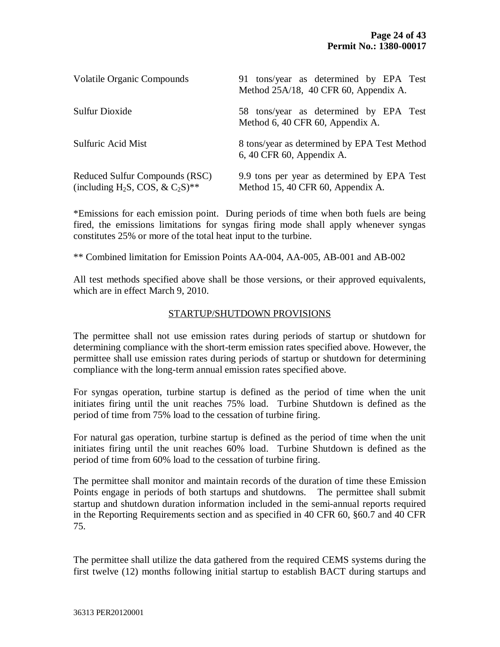| <b>Volatile Organic Compounds</b>                                                                     | 91 tons/year as determined by EPA Test<br>Method 25A/18, 40 CFR 60, Appendix A.  |
|-------------------------------------------------------------------------------------------------------|----------------------------------------------------------------------------------|
| Sulfur Dioxide                                                                                        | 58 tons/year as determined by EPA Test<br>Method 6, 40 CFR 60, Appendix A.       |
| <b>Sulfuric Acid Mist</b>                                                                             | 8 tons/year as determined by EPA Test Method<br>6, 40 CFR 60, Appendix A.        |
| Reduced Sulfur Compounds (RSC)<br>(including H <sub>2</sub> S, COS, & C <sub>2</sub> S) <sup>**</sup> | 9.9 tons per year as determined by EPA Test<br>Method 15, 40 CFR 60, Appendix A. |

\*Emissions for each emission point. During periods of time when both fuels are being fired, the emissions limitations for syngas firing mode shall apply whenever syngas constitutes 25% or more of the total heat input to the turbine.

\*\* Combined limitation for Emission Points AA-004, AA-005, AB-001 and AB-002

All test methods specified above shall be those versions, or their approved equivalents, which are in effect March 9, 2010.

### STARTUP/SHUTDOWN PROVISIONS

The permittee shall not use emission rates during periods of startup or shutdown for determining compliance with the short-term emission rates specified above. However, the permittee shall use emission rates during periods of startup or shutdown for determining compliance with the long-term annual emission rates specified above.

For syngas operation, turbine startup is defined as the period of time when the unit initiates firing until the unit reaches 75% load. Turbine Shutdown is defined as the period of time from 75% load to the cessation of turbine firing.

For natural gas operation, turbine startup is defined as the period of time when the unit initiates firing until the unit reaches 60% load. Turbine Shutdown is defined as the period of time from 60% load to the cessation of turbine firing.

The permittee shall monitor and maintain records of the duration of time these Emission Points engage in periods of both startups and shutdowns. The permittee shall submit startup and shutdown duration information included in the semi-annual reports required in the Reporting Requirements section and as specified in 40 CFR 60, §60.7 and 40 CFR 75.

The permittee shall utilize the data gathered from the required CEMS systems during the first twelve (12) months following initial startup to establish BACT during startups and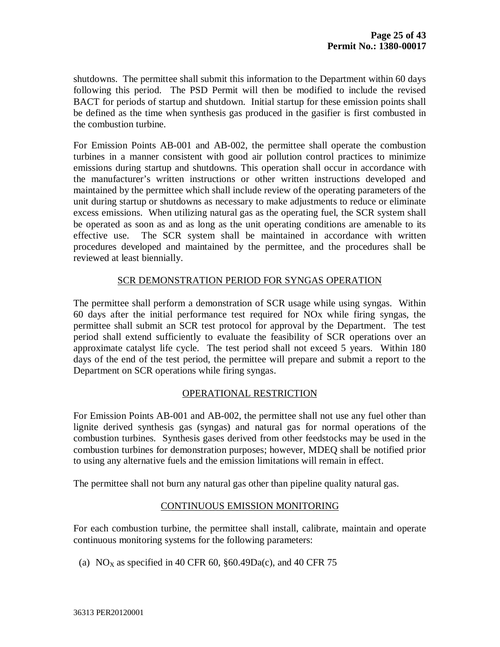shutdowns. The permittee shall submit this information to the Department within 60 days following this period. The PSD Permit will then be modified to include the revised BACT for periods of startup and shutdown. Initial startup for these emission points shall be defined as the time when synthesis gas produced in the gasifier is first combusted in the combustion turbine.

For Emission Points AB-001 and AB-002, the permittee shall operate the combustion turbines in a manner consistent with good air pollution control practices to minimize emissions during startup and shutdowns. This operation shall occur in accordance with the manufacturer's written instructions or other written instructions developed and maintained by the permittee which shall include review of the operating parameters of the unit during startup or shutdowns as necessary to make adjustments to reduce or eliminate excess emissions. When utilizing natural gas as the operating fuel, the SCR system shall be operated as soon as and as long as the unit operating conditions are amenable to its effective use. The SCR system shall be maintained in accordance with written procedures developed and maintained by the permittee, and the procedures shall be reviewed at least biennially.

### SCR DEMONSTRATION PERIOD FOR SYNGAS OPERATION

The permittee shall perform a demonstration of SCR usage while using syngas. Within 60 days after the initial performance test required for NOx while firing syngas, the permittee shall submit an SCR test protocol for approval by the Department. The test period shall extend sufficiently to evaluate the feasibility of SCR operations over an approximate catalyst life cycle. The test period shall not exceed 5 years. Within 180 days of the end of the test period, the permittee will prepare and submit a report to the Department on SCR operations while firing syngas.

### OPERATIONAL RESTRICTION

For Emission Points AB-001 and AB-002, the permittee shall not use any fuel other than lignite derived synthesis gas (syngas) and natural gas for normal operations of the combustion turbines. Synthesis gases derived from other feedstocks may be used in the combustion turbines for demonstration purposes; however, MDEQ shall be notified prior to using any alternative fuels and the emission limitations will remain in effect.

The permittee shall not burn any natural gas other than pipeline quality natural gas.

### CONTINUOUS EMISSION MONITORING

For each combustion turbine, the permittee shall install, calibrate, maintain and operate continuous monitoring systems for the following parameters:

(a)  $NO<sub>x</sub>$  as specified in 40 CFR 60, §60.49Da(c), and 40 CFR 75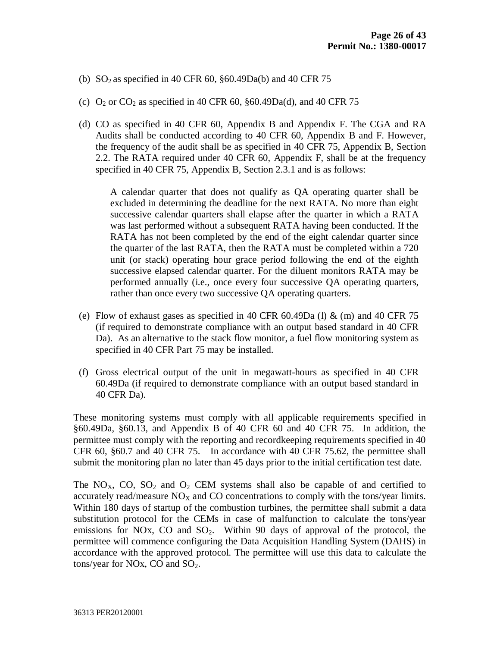- (b) SO<sub>2</sub> as specified in 40 CFR 60,  $\S 60.49Da(b)$  and 40 CFR 75
- (c)  $O_2$  or  $CO_2$  as specified in 40 CFR 60, §60.49Da(d), and 40 CFR 75
- (d) CO as specified in 40 CFR 60, Appendix B and Appendix F. The CGA and RA Audits shall be conducted according to 40 CFR 60, Appendix B and F. However, the frequency of the audit shall be as specified in 40 CFR 75, Appendix B, Section 2.2. The RATA required under 40 CFR 60, Appendix F, shall be at the frequency specified in 40 CFR 75, Appendix B, Section 2.3.1 and is as follows:

A calendar quarter that does not qualify as QA operating quarter shall be excluded in determining the deadline for the next RATA. No more than eight successive calendar quarters shall elapse after the quarter in which a RATA was last performed without a subsequent RATA having been conducted. If the RATA has not been completed by the end of the eight calendar quarter since the quarter of the last RATA, then the RATA must be completed within a 720 unit (or stack) operating hour grace period following the end of the eighth successive elapsed calendar quarter. For the diluent monitors RATA may be performed annually (i.e., once every four successive QA operating quarters, rather than once every two successive QA operating quarters.

- (e) Flow of exhaust gases as specified in 40 CFR 60.49Da (l)  $\&$  (m) and 40 CFR 75 (if required to demonstrate compliance with an output based standard in 40 CFR Da). As an alternative to the stack flow monitor, a fuel flow monitoring system as specified in 40 CFR Part 75 may be installed.
- (f) Gross electrical output of the unit in megawatt-hours as specified in 40 CFR 60.49Da (if required to demonstrate compliance with an output based standard in 40 CFR Da).

These monitoring systems must comply with all applicable requirements specified in §60.49Da, §60.13, and Appendix B of 40 CFR 60 and 40 CFR 75. In addition, the permittee must comply with the reporting and recordkeeping requirements specified in 40 CFR 60, §60.7 and 40 CFR 75. In accordance with 40 CFR 75.62, the permittee shall submit the monitoring plan no later than 45 days prior to the initial certification test date.

The NO<sub>X</sub>, CO, SO<sub>2</sub> and O<sub>2</sub> CEM systems shall also be capable of and certified to accurately read/measure  $NO<sub>X</sub>$  and CO concentrations to comply with the tons/year limits. Within 180 days of startup of the combustion turbines, the permittee shall submit a data substitution protocol for the CEMs in case of malfunction to calculate the tons/year emissions for NOx, CO and  $SO_2$ . Within 90 days of approval of the protocol, the permittee will commence configuring the Data Acquisition Handling System (DAHS) in accordance with the approved protocol. The permittee will use this data to calculate the tons/year for NOx, CO and  $SO_2$ .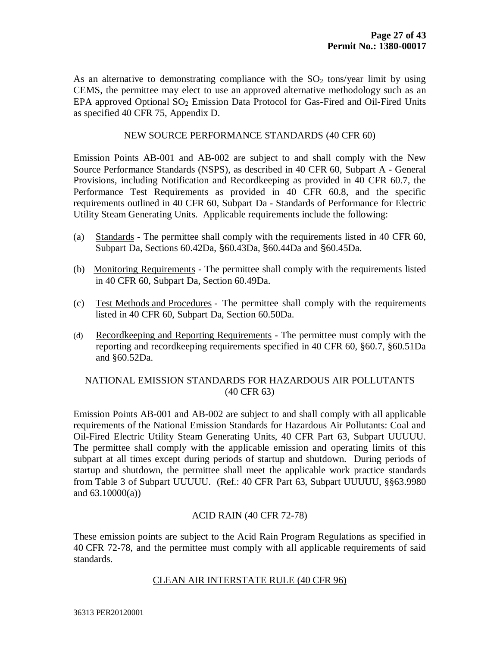As an alternative to demonstrating compliance with the  $SO<sub>2</sub>$  tons/year limit by using CEMS, the permittee may elect to use an approved alternative methodology such as an EPA approved Optional  $SO<sub>2</sub>$  Emission Data Protocol for Gas-Fired and Oil-Fired Units as specified 40 CFR 75, Appendix D.

# NEW SOURCE PERFORMANCE STANDARDS (40 CFR 60)

Emission Points AB-001 and AB-002 are subject to and shall comply with the New Source Performance Standards (NSPS), as described in 40 CFR 60, Subpart A - General Provisions, including Notification and Recordkeeping as provided in 40 CFR 60.7, the Performance Test Requirements as provided in 40 CFR 60.8, and the specific requirements outlined in 40 CFR 60, Subpart Da - Standards of Performance for Electric Utility Steam Generating Units. Applicable requirements include the following:

- (a) Standards The permittee shall comply with the requirements listed in 40 CFR 60, Subpart Da, Sections 60.42Da, §60.43Da, §60.44Da and §60.45Da.
- (b) Monitoring Requirements The permittee shall comply with the requirements listed in 40 CFR 60, Subpart Da, Section 60.49Da.
- (c) Test Methods and Procedures The permittee shall comply with the requirements listed in 40 CFR 60, Subpart Da, Section 60.50Da.
- (d) Recordkeeping and Reporting Requirements The permittee must comply with the reporting and recordkeeping requirements specified in 40 CFR 60, §60.7, §60.51Da and §60.52Da.

# NATIONAL EMISSION STANDARDS FOR HAZARDOUS AIR POLLUTANTS (40 CFR 63)

Emission Points AB-001 and AB-002 are subject to and shall comply with all applicable requirements of the National Emission Standards for Hazardous Air Pollutants: Coal and Oil-Fired Electric Utility Steam Generating Units, 40 CFR Part 63, Subpart UUUUU. The permittee shall comply with the applicable emission and operating limits of this subpart at all times except during periods of startup and shutdown. During periods of startup and shutdown, the permittee shall meet the applicable work practice standards from Table 3 of Subpart UUUUU. (Ref.: 40 CFR Part 63, Subpart UUUUU, §§63.9980 and  $63.10000(a)$ )

### ACID RAIN (40 CFR 72-78)

These emission points are subject to the Acid Rain Program Regulations as specified in 40 CFR 72-78, and the permittee must comply with all applicable requirements of said standards.

#### CLEAN AIR INTERSTATE RULE (40 CFR 96)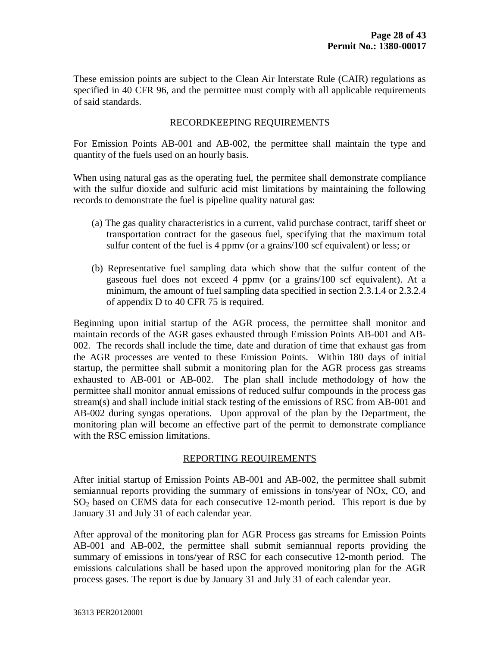These emission points are subject to the Clean Air Interstate Rule (CAIR) regulations as specified in 40 CFR 96, and the permittee must comply with all applicable requirements of said standards.

# RECORDKEEPING REQUIREMENTS

For Emission Points AB-001 and AB-002, the permittee shall maintain the type and quantity of the fuels used on an hourly basis.

When using natural gas as the operating fuel, the permitee shall demonstrate compliance with the sulfur dioxide and sulfuric acid mist limitations by maintaining the following records to demonstrate the fuel is pipeline quality natural gas:

- (a) The gas quality characteristics in a current, valid purchase contract, tariff sheet or transportation contract for the gaseous fuel, specifying that the maximum total sulfur content of the fuel is 4 ppmv (or a grains/100 scf equivalent) or less; or
- (b) Representative fuel sampling data which show that the sulfur content of the gaseous fuel does not exceed 4 ppmv (or a grains/100 scf equivalent). At a minimum, the amount of fuel sampling data specified in section 2.3.1.4 or 2.3.2.4 of appendix D to 40 CFR 75 is required.

Beginning upon initial startup of the AGR process, the permittee shall monitor and maintain records of the AGR gases exhausted through Emission Points AB-001 and AB-002. The records shall include the time, date and duration of time that exhaust gas from the AGR processes are vented to these Emission Points. Within 180 days of initial startup, the permittee shall submit a monitoring plan for the AGR process gas streams exhausted to AB-001 or AB-002. The plan shall include methodology of how the permittee shall monitor annual emissions of reduced sulfur compounds in the process gas stream(s) and shall include initial stack testing of the emissions of RSC from AB-001 and AB-002 during syngas operations. Upon approval of the plan by the Department, the monitoring plan will become an effective part of the permit to demonstrate compliance with the RSC emission limitations.

# REPORTING REQUIREMENTS

After initial startup of Emission Points AB-001 and AB-002, the permittee shall submit semiannual reports providing the summary of emissions in tons/year of NOx, CO, and  $SO<sub>2</sub>$  based on CEMS data for each consecutive 12-month period. This report is due by January 31 and July 31 of each calendar year.

After approval of the monitoring plan for AGR Process gas streams for Emission Points AB-001 and AB-002, the permittee shall submit semiannual reports providing the summary of emissions in tons/year of RSC for each consecutive 12-month period. The emissions calculations shall be based upon the approved monitoring plan for the AGR process gases. The report is due by January 31 and July 31 of each calendar year.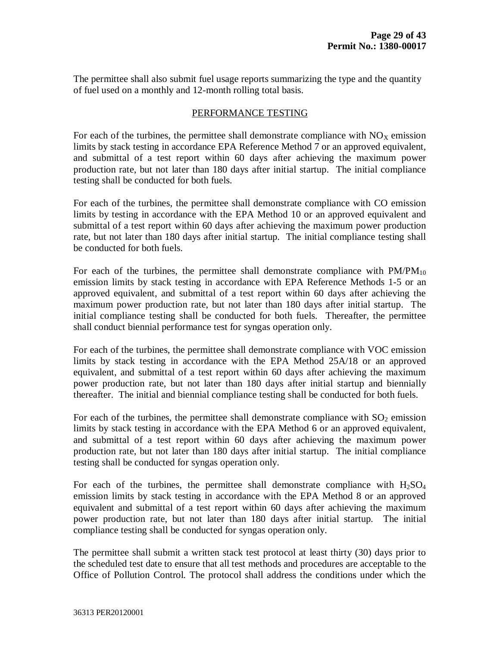The permittee shall also submit fuel usage reports summarizing the type and the quantity of fuel used on a monthly and 12-month rolling total basis.

# PERFORMANCE TESTING

For each of the turbines, the permittee shall demonstrate compliance with  $NO<sub>x</sub>$  emission limits by stack testing in accordance EPA Reference Method 7 or an approved equivalent, and submittal of a test report within 60 days after achieving the maximum power production rate, but not later than 180 days after initial startup. The initial compliance testing shall be conducted for both fuels.

For each of the turbines, the permittee shall demonstrate compliance with CO emission limits by testing in accordance with the EPA Method 10 or an approved equivalent and submittal of a test report within 60 days after achieving the maximum power production rate, but not later than 180 days after initial startup. The initial compliance testing shall be conducted for both fuels.

For each of the turbines, the permittee shall demonstrate compliance with  $PM/PM_{10}$ emission limits by stack testing in accordance with EPA Reference Methods 1-5 or an approved equivalent, and submittal of a test report within 60 days after achieving the maximum power production rate, but not later than 180 days after initial startup. The initial compliance testing shall be conducted for both fuels. Thereafter, the permittee shall conduct biennial performance test for syngas operation only.

For each of the turbines, the permittee shall demonstrate compliance with VOC emission limits by stack testing in accordance with the EPA Method 25A/18 or an approved equivalent, and submittal of a test report within 60 days after achieving the maximum power production rate, but not later than 180 days after initial startup and biennially thereafter. The initial and biennial compliance testing shall be conducted for both fuels.

For each of the turbines, the permittee shall demonstrate compliance with  $SO_2$  emission limits by stack testing in accordance with the EPA Method 6 or an approved equivalent, and submittal of a test report within 60 days after achieving the maximum power production rate, but not later than 180 days after initial startup. The initial compliance testing shall be conducted for syngas operation only.

For each of the turbines, the permittee shall demonstrate compliance with  $H_2SO_4$ emission limits by stack testing in accordance with the EPA Method 8 or an approved equivalent and submittal of a test report within 60 days after achieving the maximum power production rate, but not later than 180 days after initial startup. The initial compliance testing shall be conducted for syngas operation only.

The permittee shall submit a written stack test protocol at least thirty (30) days prior to the scheduled test date to ensure that all test methods and procedures are acceptable to the Office of Pollution Control. The protocol shall address the conditions under which the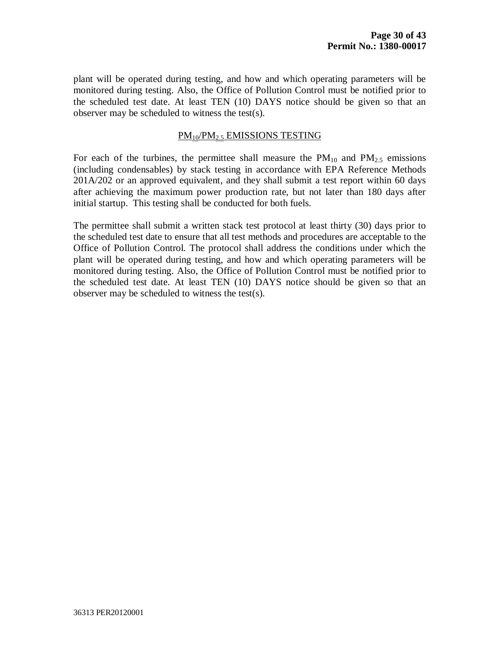plant will be operated during testing, and how and which operating parameters will be monitored during testing. Also, the Office of Pollution Control must be notified prior to the scheduled test date. At least TEN (10) DAYS notice should be given so that an observer may be scheduled to witness the test(s).

### PM10/PM2.5 EMISSIONS TESTING

For each of the turbines, the permittee shall measure the  $PM_{10}$  and  $PM_{2.5}$  emissions (including condensables) by stack testing in accordance with EPA Reference Methods 201A/202 or an approved equivalent, and they shall submit a test report within 60 days after achieving the maximum power production rate, but not later than 180 days after initial startup. This testing shall be conducted for both fuels.

The permittee shall submit a written stack test protocol at least thirty (30) days prior to the scheduled test date to ensure that all test methods and procedures are acceptable to the Office of Pollution Control. The protocol shall address the conditions under which the plant will be operated during testing, and how and which operating parameters will be monitored during testing. Also, the Office of Pollution Control must be notified prior to the scheduled test date. At least TEN (10) DAYS notice should be given so that an observer may be scheduled to witness the test(s).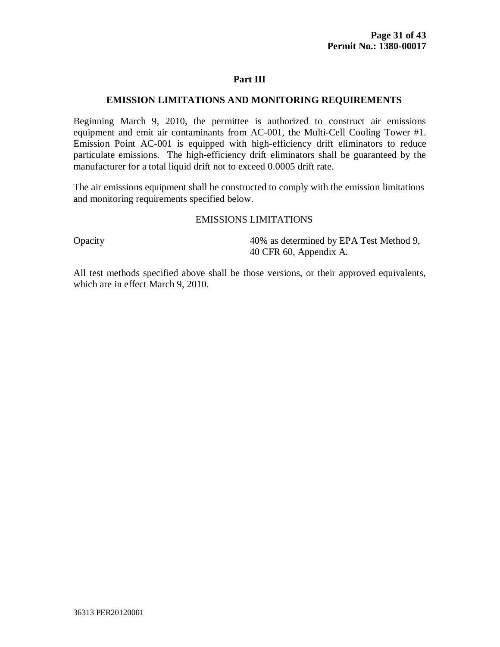#### **EMISSION LIMITATIONS AND MONITORING REQUIREMENTS**

Beginning March 9, 2010, the permittee is authorized to construct air emissions equipment and emit air contaminants from AC-001, the Multi-Cell Cooling Tower #1. Emission Point AC-001 is equipped with high-efficiency drift eliminators to reduce particulate emissions. The high-efficiency drift eliminators shall be guaranteed by the manufacturer for a total liquid drift not to exceed 0.0005 drift rate.

The air emissions equipment shall be constructed to comply with the emission limitations and monitoring requirements specified below.

#### EMISSIONS LIMITATIONS

Opacity 40% as determined by EPA Test Method 9, 40 CFR 60, Appendix A.

All test methods specified above shall be those versions, or their approved equivalents, which are in effect March 9, 2010.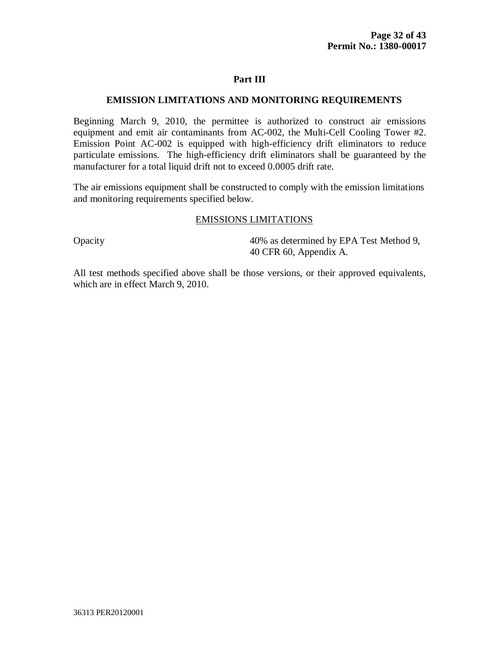#### **EMISSION LIMITATIONS AND MONITORING REQUIREMENTS**

Beginning March 9, 2010, the permittee is authorized to construct air emissions equipment and emit air contaminants from AC-002, the Multi-Cell Cooling Tower #2. Emission Point AC-002 is equipped with high-efficiency drift eliminators to reduce particulate emissions. The high-efficiency drift eliminators shall be guaranteed by the manufacturer for a total liquid drift not to exceed 0.0005 drift rate.

The air emissions equipment shall be constructed to comply with the emission limitations and monitoring requirements specified below.

#### EMISSIONS LIMITATIONS

Opacity 40% as determined by EPA Test Method 9, 40 CFR 60, Appendix A.

All test methods specified above shall be those versions, or their approved equivalents, which are in effect March 9, 2010.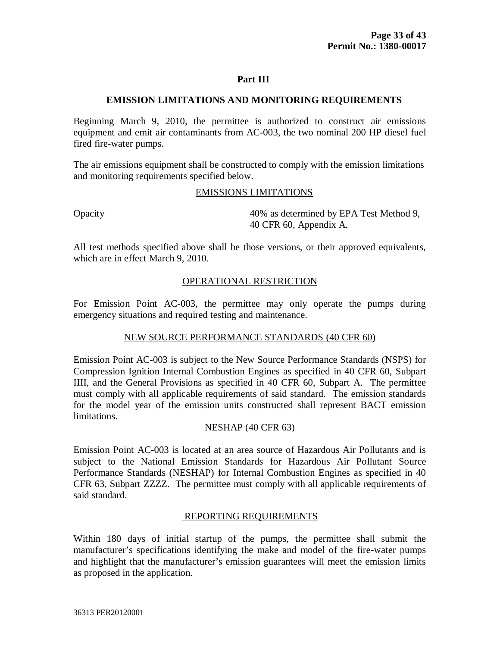#### **EMISSION LIMITATIONS AND MONITORING REQUIREMENTS**

Beginning March 9, 2010, the permittee is authorized to construct air emissions equipment and emit air contaminants from AC-003, the two nominal 200 HP diesel fuel fired fire-water pumps.

The air emissions equipment shall be constructed to comply with the emission limitations and monitoring requirements specified below.

#### EMISSIONS LIMITATIONS

Opacity 40% as determined by EPA Test Method 9, 40 CFR 60, Appendix A.

All test methods specified above shall be those versions, or their approved equivalents, which are in effect March 9, 2010.

# OPERATIONAL RESTRICTION

For Emission Point AC-003, the permittee may only operate the pumps during emergency situations and required testing and maintenance.

### NEW SOURCE PERFORMANCE STANDARDS (40 CFR 60)

Emission Point AC-003 is subject to the New Source Performance Standards (NSPS) for Compression Ignition Internal Combustion Engines as specified in 40 CFR 60, Subpart IIII, and the General Provisions as specified in 40 CFR 60, Subpart A. The permittee must comply with all applicable requirements of said standard. The emission standards for the model year of the emission units constructed shall represent BACT emission limitations.

### NESHAP (40 CFR 63)

Emission Point AC-003 is located at an area source of Hazardous Air Pollutants and is subject to the National Emission Standards for Hazardous Air Pollutant Source Performance Standards (NESHAP) for Internal Combustion Engines as specified in 40 CFR 63, Subpart ZZZZ. The permittee must comply with all applicable requirements of said standard.

#### REPORTING REQUIREMENTS

Within 180 days of initial startup of the pumps, the permittee shall submit the manufacturer's specifications identifying the make and model of the fire-water pumps and highlight that the manufacturer's emission guarantees will meet the emission limits as proposed in the application.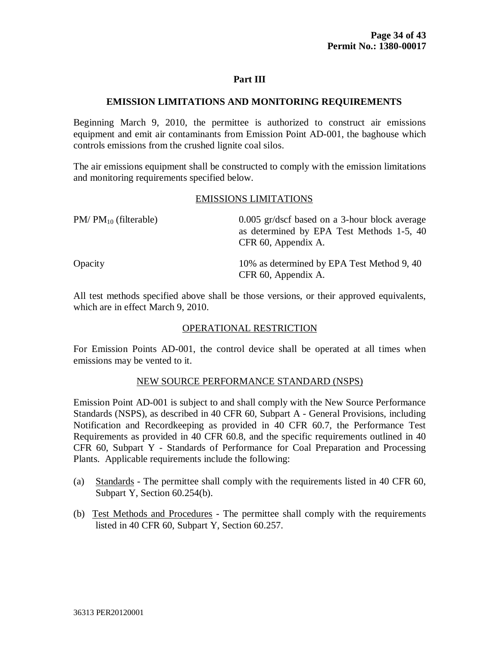#### **EMISSION LIMITATIONS AND MONITORING REQUIREMENTS**

Beginning March 9, 2010, the permittee is authorized to construct air emissions equipment and emit air contaminants from Emission Point AD-001, the baghouse which controls emissions from the crushed lignite coal silos.

The air emissions equipment shall be constructed to comply with the emission limitations and monitoring requirements specified below.

#### EMISSIONS LIMITATIONS

| $PM/PM_{10}$ (filterable) | 0.005 gr/dscf based on a 3-hour block average<br>as determined by EPA Test Methods 1-5, 40<br>CFR 60, Appendix A. |
|---------------------------|-------------------------------------------------------------------------------------------------------------------|
| Opacity                   | 10% as determined by EPA Test Method 9, 40<br>CFR 60, Appendix A.                                                 |

All test methods specified above shall be those versions, or their approved equivalents, which are in effect March 9, 2010.

### OPERATIONAL RESTRICTION

For Emission Points AD-001, the control device shall be operated at all times when emissions may be vented to it.

#### NEW SOURCE PERFORMANCE STANDARD (NSPS)

Emission Point AD-001 is subject to and shall comply with the New Source Performance Standards (NSPS), as described in 40 CFR 60, Subpart A - General Provisions, including Notification and Recordkeeping as provided in 40 CFR 60.7, the Performance Test Requirements as provided in 40 CFR 60.8, and the specific requirements outlined in 40 CFR 60, Subpart Y - Standards of Performance for Coal Preparation and Processing Plants. Applicable requirements include the following:

- (a) Standards The permittee shall comply with the requirements listed in 40 CFR 60, Subpart Y, Section 60.254(b).
- (b) Test Methods and Procedures The permittee shall comply with the requirements listed in 40 CFR 60, Subpart Y, Section 60.257.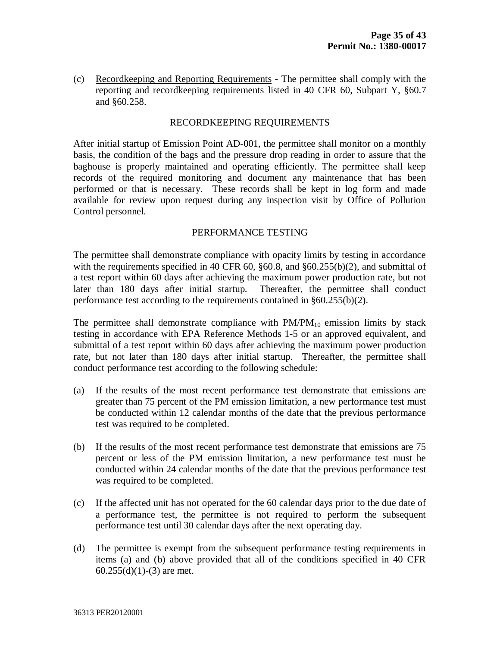(c) Recordkeeping and Reporting Requirements - The permittee shall comply with the reporting and recordkeeping requirements listed in 40 CFR 60, Subpart Y, §60.7 and §60.258.

#### RECORDKEEPING REQUIREMENTS

After initial startup of Emission Point AD-001, the permittee shall monitor on a monthly basis, the condition of the bags and the pressure drop reading in order to assure that the baghouse is properly maintained and operating efficiently. The permittee shall keep records of the required monitoring and document any maintenance that has been performed or that is necessary. These records shall be kept in log form and made available for review upon request during any inspection visit by Office of Pollution Control personnel.

#### PERFORMANCE TESTING

The permittee shall demonstrate compliance with opacity limits by testing in accordance with the requirements specified in 40 CFR 60, §60.8, and §60.255(b)(2), and submittal of a test report within 60 days after achieving the maximum power production rate, but not later than 180 days after initial startup. Thereafter, the permittee shall conduct performance test according to the requirements contained in §60.255(b)(2).

The permittee shall demonstrate compliance with  $PM/PM_{10}$  emission limits by stack testing in accordance with EPA Reference Methods 1-5 or an approved equivalent, and submittal of a test report within 60 days after achieving the maximum power production rate, but not later than 180 days after initial startup. Thereafter, the permittee shall conduct performance test according to the following schedule:

- (a) If the results of the most recent performance test demonstrate that emissions are greater than 75 percent of the PM emission limitation, a new performance test must be conducted within 12 calendar months of the date that the previous performance test was required to be completed.
- (b) If the results of the most recent performance test demonstrate that emissions are 75 percent or less of the PM emission limitation, a new performance test must be conducted within 24 calendar months of the date that the previous performance test was required to be completed.
- (c) If the affected unit has not operated for the 60 calendar days prior to the due date of a performance test, the permittee is not required to perform the subsequent performance test until 30 calendar days after the next operating day.
- (d) The permittee is exempt from the subsequent performance testing requirements in items (a) and (b) above provided that all of the conditions specified in 40 CFR  $60.255(d)(1)-(3)$  are met.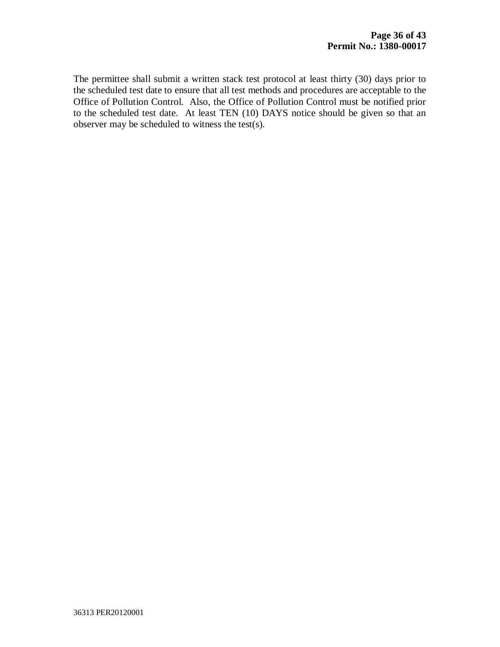The permittee shall submit a written stack test protocol at least thirty (30) days prior to the scheduled test date to ensure that all test methods and procedures are acceptable to the Office of Pollution Control. Also, the Office of Pollution Control must be notified prior to the scheduled test date. At least TEN (10) DAYS notice should be given so that an observer may be scheduled to witness the test(s).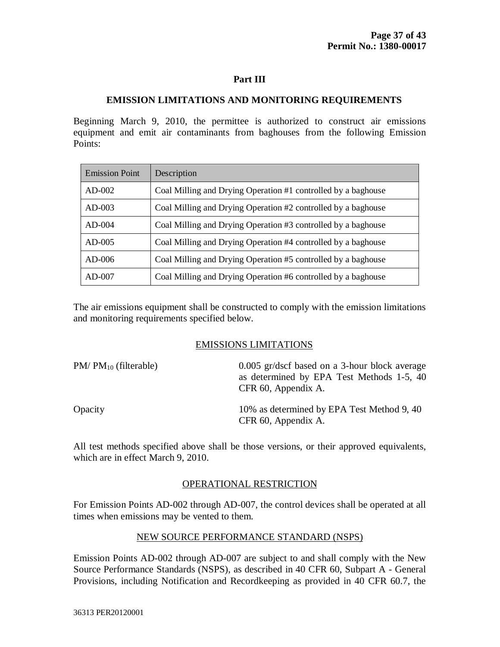# **EMISSION LIMITATIONS AND MONITORING REQUIREMENTS**

Beginning March 9, 2010, the permittee is authorized to construct air emissions equipment and emit air contaminants from baghouses from the following Emission Points:

| <b>Emission Point</b> | Description                                                   |
|-----------------------|---------------------------------------------------------------|
| $AD-002$              | Coal Milling and Drying Operation #1 controlled by a baghouse |
| $AD-003$              | Coal Milling and Drying Operation #2 controlled by a baghouse |
| $AD-004$              | Coal Milling and Drying Operation #3 controlled by a baghouse |
| $AD-005$              | Coal Milling and Drying Operation #4 controlled by a baghouse |
| $AD-006$              | Coal Milling and Drying Operation #5 controlled by a baghouse |
| $AD-007$              | Coal Milling and Drying Operation #6 controlled by a baghouse |

The air emissions equipment shall be constructed to comply with the emission limitations and monitoring requirements specified below.

### EMISSIONS LIMITATIONS

| $PM/PM_{10}$ (filterable) | 0.005 gr/dscf based on a 3-hour block average<br>as determined by EPA Test Methods 1-5, 40<br>CFR 60, Appendix A. |
|---------------------------|-------------------------------------------------------------------------------------------------------------------|
| Opacity                   | 10% as determined by EPA Test Method 9, 40<br>CFR 60, Appendix A.                                                 |

All test methods specified above shall be those versions, or their approved equivalents, which are in effect March 9, 2010.

### OPERATIONAL RESTRICTION

For Emission Points AD-002 through AD-007, the control devices shall be operated at all times when emissions may be vented to them.

#### NEW SOURCE PERFORMANCE STANDARD (NSPS)

Emission Points AD-002 through AD-007 are subject to and shall comply with the New Source Performance Standards (NSPS), as described in 40 CFR 60, Subpart A - General Provisions, including Notification and Recordkeeping as provided in 40 CFR 60.7, the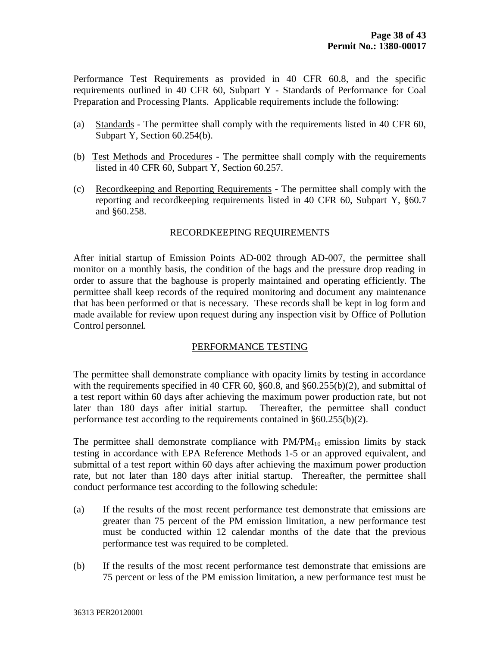Performance Test Requirements as provided in 40 CFR 60.8, and the specific requirements outlined in 40 CFR 60, Subpart Y - Standards of Performance for Coal Preparation and Processing Plants. Applicable requirements include the following:

- (a) Standards The permittee shall comply with the requirements listed in 40 CFR 60, Subpart Y, Section 60.254(b).
- (b) Test Methods and Procedures The permittee shall comply with the requirements listed in 40 CFR 60, Subpart Y, Section 60.257.
- (c) Recordkeeping and Reporting Requirements The permittee shall comply with the reporting and recordkeeping requirements listed in 40 CFR 60, Subpart Y, §60.7 and §60.258.

# RECORDKEEPING REQUIREMENTS

After initial startup of Emission Points AD-002 through AD-007, the permittee shall monitor on a monthly basis, the condition of the bags and the pressure drop reading in order to assure that the baghouse is properly maintained and operating efficiently. The permittee shall keep records of the required monitoring and document any maintenance that has been performed or that is necessary. These records shall be kept in log form and made available for review upon request during any inspection visit by Office of Pollution Control personnel.

# PERFORMANCE TESTING

The permittee shall demonstrate compliance with opacity limits by testing in accordance with the requirements specified in 40 CFR 60, §60.8, and §60.255(b)(2), and submittal of a test report within 60 days after achieving the maximum power production rate, but not later than 180 days after initial startup. Thereafter, the permittee shall conduct performance test according to the requirements contained in §60.255(b)(2).

The permittee shall demonstrate compliance with  $PM/PM_{10}$  emission limits by stack testing in accordance with EPA Reference Methods 1-5 or an approved equivalent, and submittal of a test report within 60 days after achieving the maximum power production rate, but not later than 180 days after initial startup. Thereafter, the permittee shall conduct performance test according to the following schedule:

- (a) If the results of the most recent performance test demonstrate that emissions are greater than 75 percent of the PM emission limitation, a new performance test must be conducted within 12 calendar months of the date that the previous performance test was required to be completed.
- (b) If the results of the most recent performance test demonstrate that emissions are 75 percent or less of the PM emission limitation, a new performance test must be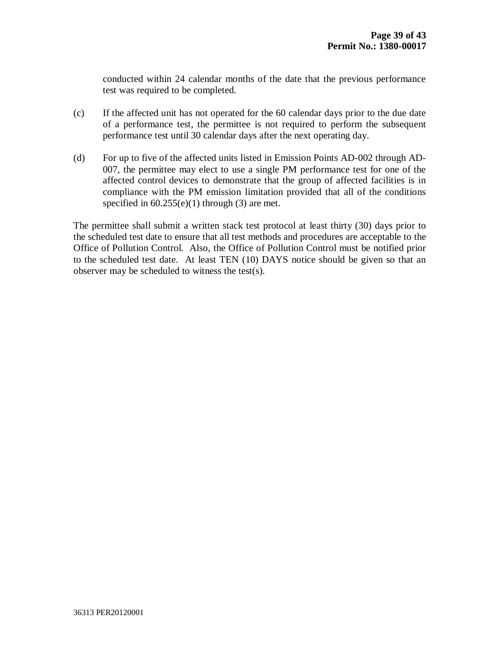conducted within 24 calendar months of the date that the previous performance test was required to be completed.

- (c) If the affected unit has not operated for the 60 calendar days prior to the due date of a performance test, the permittee is not required to perform the subsequent performance test until 30 calendar days after the next operating day.
- (d) For up to five of the affected units listed in Emission Points AD-002 through AD-007, the permittee may elect to use a single PM performance test for one of the affected control devices to demonstrate that the group of affected facilities is in compliance with the PM emission limitation provided that all of the conditions specified in  $60.255(e)(1)$  through  $(3)$  are met.

The permittee shall submit a written stack test protocol at least thirty (30) days prior to the scheduled test date to ensure that all test methods and procedures are acceptable to the Office of Pollution Control. Also, the Office of Pollution Control must be notified prior to the scheduled test date. At least TEN (10) DAYS notice should be given so that an observer may be scheduled to witness the test(s).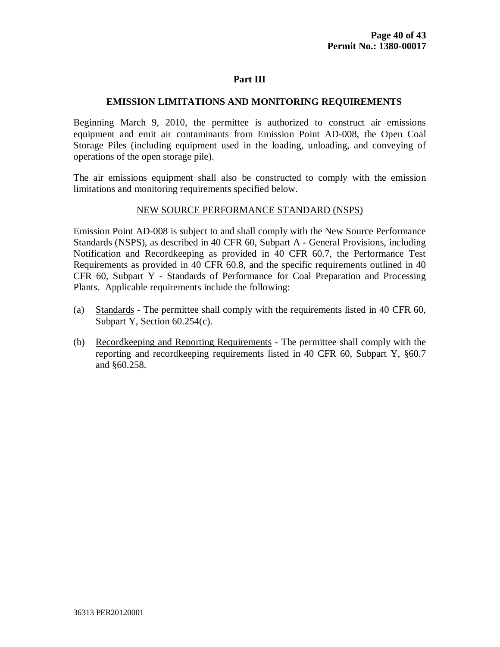#### **EMISSION LIMITATIONS AND MONITORING REQUIREMENTS**

Beginning March 9, 2010, the permittee is authorized to construct air emissions equipment and emit air contaminants from Emission Point AD-008, the Open Coal Storage Piles (including equipment used in the loading, unloading, and conveying of operations of the open storage pile).

The air emissions equipment shall also be constructed to comply with the emission limitations and monitoring requirements specified below.

#### NEW SOURCE PERFORMANCE STANDARD (NSPS)

Emission Point AD-008 is subject to and shall comply with the New Source Performance Standards (NSPS), as described in 40 CFR 60, Subpart A - General Provisions, including Notification and Recordkeeping as provided in 40 CFR 60.7, the Performance Test Requirements as provided in 40 CFR 60.8, and the specific requirements outlined in 40 CFR 60, Subpart Y - Standards of Performance for Coal Preparation and Processing Plants. Applicable requirements include the following:

- (a) Standards The permittee shall comply with the requirements listed in 40 CFR 60, Subpart Y, Section 60.254(c).
- (b) Recordkeeping and Reporting Requirements The permittee shall comply with the reporting and recordkeeping requirements listed in 40 CFR 60, Subpart Y, §60.7 and §60.258.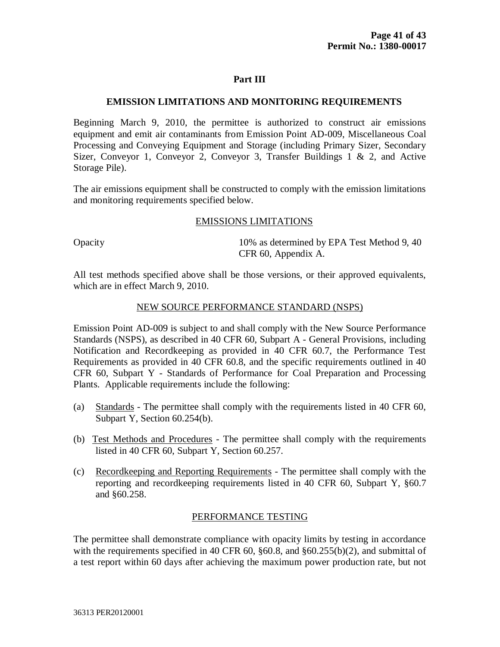#### **EMISSION LIMITATIONS AND MONITORING REQUIREMENTS**

Beginning March 9, 2010, the permittee is authorized to construct air emissions equipment and emit air contaminants from Emission Point AD-009, Miscellaneous Coal Processing and Conveying Equipment and Storage (including Primary Sizer, Secondary Sizer, Conveyor 1, Conveyor 2, Conveyor 3, Transfer Buildings 1 & 2, and Active Storage Pile).

The air emissions equipment shall be constructed to comply with the emission limitations and monitoring requirements specified below.

#### EMISSIONS LIMITATIONS

Opacity 10% as determined by EPA Test Method 9, 40 CFR 60, Appendix A.

All test methods specified above shall be those versions, or their approved equivalents, which are in effect March 9, 2010.

#### NEW SOURCE PERFORMANCE STANDARD (NSPS)

Emission Point AD-009 is subject to and shall comply with the New Source Performance Standards (NSPS), as described in 40 CFR 60, Subpart A - General Provisions, including Notification and Recordkeeping as provided in 40 CFR 60.7, the Performance Test Requirements as provided in 40 CFR 60.8, and the specific requirements outlined in 40 CFR 60, Subpart Y - Standards of Performance for Coal Preparation and Processing Plants. Applicable requirements include the following:

- (a) Standards The permittee shall comply with the requirements listed in 40 CFR 60, Subpart Y, Section 60.254(b).
- (b) Test Methods and Procedures The permittee shall comply with the requirements listed in 40 CFR 60, Subpart Y, Section 60.257.
- (c) Recordkeeping and Reporting Requirements The permittee shall comply with the reporting and recordkeeping requirements listed in 40 CFR 60, Subpart Y, §60.7 and §60.258.

#### PERFORMANCE TESTING

The permittee shall demonstrate compliance with opacity limits by testing in accordance with the requirements specified in 40 CFR 60,  $\S 60.8$ , and  $\S 60.255(b)(2)$ , and submittal of a test report within 60 days after achieving the maximum power production rate, but not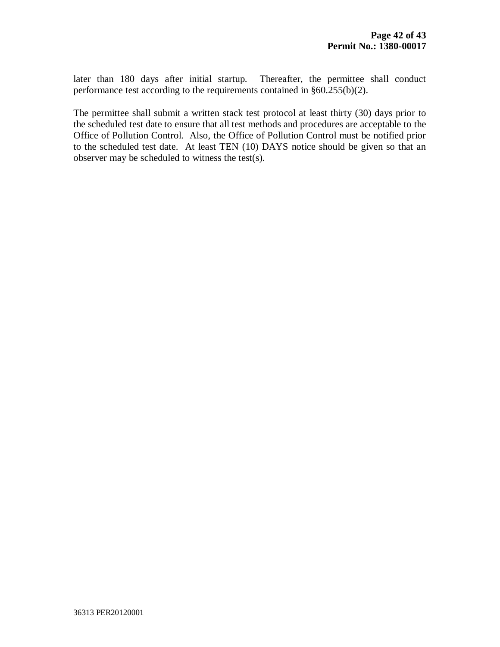later than 180 days after initial startup. Thereafter, the permittee shall conduct performance test according to the requirements contained in §60.255(b)(2).

The permittee shall submit a written stack test protocol at least thirty (30) days prior to the scheduled test date to ensure that all test methods and procedures are acceptable to the Office of Pollution Control. Also, the Office of Pollution Control must be notified prior to the scheduled test date. At least TEN (10) DAYS notice should be given so that an observer may be scheduled to witness the test(s).